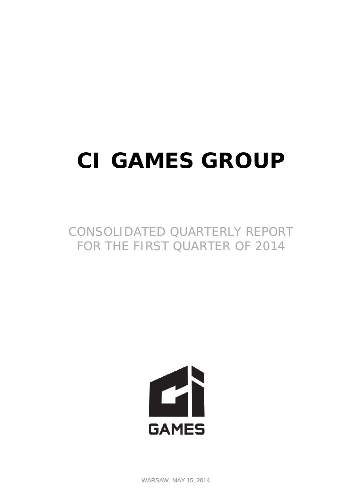# **CI GAMES GROUP**

CONSOLIDATED QUARTERLY REPORT FOR THE FIRST QUARTER OF 2014



WARSAW, MAY 15, 2014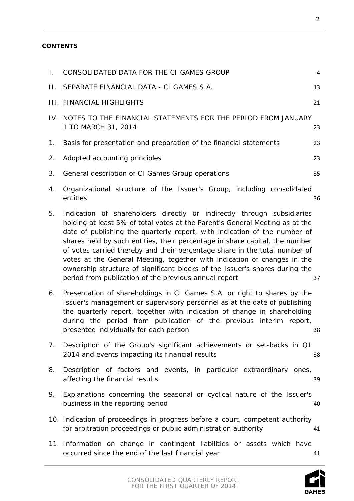# **CONTENTS**

| Τ. | CONSOLIDATED DATA FOR THE CI GAMES GROUP                                                                                                                                                                                                                                                                                                                                                                                                                                                                                                                                                                             | $\sqrt{4}$ |
|----|----------------------------------------------------------------------------------------------------------------------------------------------------------------------------------------------------------------------------------------------------------------------------------------------------------------------------------------------------------------------------------------------------------------------------------------------------------------------------------------------------------------------------------------------------------------------------------------------------------------------|------------|
| П. | SEPARATE FINANCIAL DATA - CI GAMES S.A.                                                                                                                                                                                                                                                                                                                                                                                                                                                                                                                                                                              | 13         |
|    | <b>III. FINANCIAL HIGHLIGHTS</b>                                                                                                                                                                                                                                                                                                                                                                                                                                                                                                                                                                                     | 21         |
|    | IV. NOTES TO THE FINANCIAL STATEMENTS FOR THE PERIOD FROM JANUARY<br>1 TO MARCH 31, 2014                                                                                                                                                                                                                                                                                                                                                                                                                                                                                                                             | 23         |
| 1. | Basis for presentation and preparation of the financial statements                                                                                                                                                                                                                                                                                                                                                                                                                                                                                                                                                   | 23         |
| 2. | Adopted accounting principles                                                                                                                                                                                                                                                                                                                                                                                                                                                                                                                                                                                        | 23         |
| 3. | General description of CI Games Group operations                                                                                                                                                                                                                                                                                                                                                                                                                                                                                                                                                                     | 35         |
| 4. | Organizational structure of the Issuer's Group, including consolidated<br>entities                                                                                                                                                                                                                                                                                                                                                                                                                                                                                                                                   | 36         |
| 5. | Indication of shareholders directly or indirectly through subsidiaries<br>holding at least 5% of total votes at the Parent's General Meeting as at the<br>date of publishing the quarterly report, with indication of the number of<br>shares held by such entities, their percentage in share capital, the number<br>of votes carried thereby and their percentage share in the total number of<br>votes at the General Meeting, together with indication of changes in the<br>ownership structure of significant blocks of the Issuer's shares during the<br>period from publication of the previous annual report | 37         |
| 6. | Presentation of shareholdings in CI Games S.A. or right to shares by the<br>Issuer's management or supervisory personnel as at the date of publishing<br>the quarterly report, together with indication of change in shareholding<br>during the period from publication of the previous interim report,<br>presented individually for each person                                                                                                                                                                                                                                                                    | 38         |
| 7. | Description of the Group's significant achievements or set-backs in Q1<br>2014 and events impacting its financial results                                                                                                                                                                                                                                                                                                                                                                                                                                                                                            | 38         |
| 8. | Description of factors and events, in particular extraordinary ones,<br>affecting the financial results                                                                                                                                                                                                                                                                                                                                                                                                                                                                                                              | 39         |
| 9. | Explanations concerning the seasonal or cyclical nature of the Issuer's<br>business in the reporting period                                                                                                                                                                                                                                                                                                                                                                                                                                                                                                          | 40         |
|    | 10. Indication of proceedings in progress before a court, competent authority<br>for arbitration proceedings or public administration authority                                                                                                                                                                                                                                                                                                                                                                                                                                                                      | 41         |
|    | 11. Information on change in contingent liabilities or assets which have<br>occurred since the end of the last financial year                                                                                                                                                                                                                                                                                                                                                                                                                                                                                        | 41         |
|    |                                                                                                                                                                                                                                                                                                                                                                                                                                                                                                                                                                                                                      |            |

**GAMES**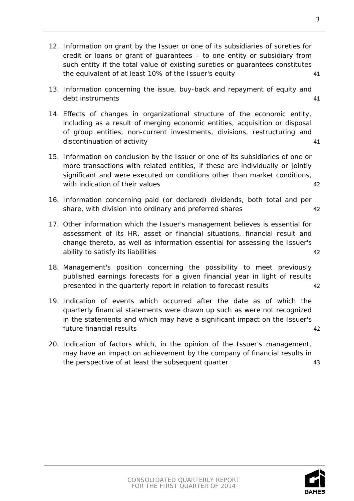CONSOLIDATED QUARTERLY REPORT FOR THE FIRST QUARTER OF 2014

3

- 12. [Information on grant by the Issuer or one of its subsidiaries of sureties for](#page-40-2)  [credit or loans or grant of guarantees –](#page-40-2) to one entity or subsidiary from [such entity if the total value of existing sureties or guarantees constitutes](#page-40-2)  [the equivalent of at least 10% of the Issuer's equity](#page-40-2) 41
- 13. [Information concerning the issue, buy-back and repayment of equity and](#page-40-3)  [debt instruments](#page-40-3) 41
- 14. [Effects of changes in organizational structure of the economic entity,](#page-40-4)  [including as a result of merging economic entities, acquisition or disposal](#page-40-4)  [of group entities, non-current investments, divisions, restructuring and](#page-40-4)  [discontinuation of activity](#page-40-4) and the state of the state  $41$
- 15. [Information on conclusion by the Issuer or one of its subsidiaries of one or](#page-41-0)  [more transactions with related entities, if these are individually](#page-41-0) or jointly [significant and were executed on conditions other than market conditions,](#page-41-0)  [with indication of their values](#page-41-0) 42
- 16. [Information concerning paid \(or declared\) dividends, both total and](#page-41-1) per [share, with division into ordinary and preferred shares](#page-41-1) 42
- 17. [Other information which the Issuer's management believes is essential for](#page-41-2)  [assessment of its HR, asset or financial situations, financial result and](#page-41-2)  [change thereto, as well as information essential for assessing the Issuer's](#page-41-2)  [ability to satisfy its liabilities](#page-41-2) 42
- 18. [Management's position concerning the possibility to meet previously](#page-41-3)  [published earnings forecasts for a given financial year in light of results](#page-41-3)  [presented in the quarterly report in relation to forecast results](#page-41-3) 42
- 19. [Indication of events which occurred after the date as of which the](#page-41-4)  [quarterly financial statements were drawn up such as were not recognized](#page-41-4)  [in the statements and which may have a significant impact on the Issuer's](#page-41-4)  [future financial results](#page-41-4) 42
- 20. [Indication of factors which, in the opinion of the Issuer's management,](#page-42-0)  [may have an impact on achievement by the company of financial results in](#page-42-0)  [the perspective of at least the subsequent quarter](#page-42-0)  $\frac{43}{4}$

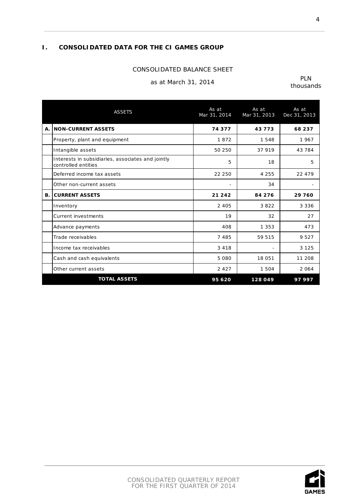# <span id="page-3-0"></span>**I. CONSOLIDATED DATA FOR THE CI GAMES GROUP**

#### CONSOLIDATED BALANCE SHEET

# as at March 31, 2014 PLN

|    | <b>ASSETS</b>                                                            | As at<br>Mar 31, 2014    | As at<br>Mar 31, 2013    | As at<br>Dec 31, 2013 |
|----|--------------------------------------------------------------------------|--------------------------|--------------------------|-----------------------|
| А. | <b>NON-CURRENT ASSETS</b>                                                | 74 377                   | 43773                    | 68 237                |
|    | Property, plant and equipment                                            | 1872                     | 1548                     | 1967                  |
|    | Intangible assets                                                        | 50 250                   | 37 919                   | 43 784                |
|    | Interests in subsidiaries, associates and jointly<br>controlled entities | 5                        | 18                       | 5                     |
|    | Deferred income tax assets                                               | 22 250                   | 4 2 5 5                  | 22 479                |
|    | Other non-current assets                                                 | $\overline{\phantom{a}}$ | 34                       |                       |
| В. | <b>CURRENT ASSETS</b>                                                    | 21 24 2                  | 84 276                   | 29 760                |
|    | Inventory                                                                | 2 4 0 5                  | 3822                     | 3 3 3 6               |
|    | <b>Current investments</b>                                               | 19                       | 32                       | 27                    |
|    | Advance payments                                                         | 408                      | 1 3 5 3                  | 473                   |
|    | Trade receivables                                                        | 7485                     | 59 515                   | 9527                  |
|    | Income tax receivables                                                   | 3 4 1 8                  | $\overline{\phantom{a}}$ | 3 1 2 5               |
|    | Cash and cash equivalents                                                | 5 0 8 0                  | 18 051                   | 11 208                |
|    | Other current assets                                                     | 2 4 2 7                  | 1 504                    | 2 0 6 4               |
|    | <b>TOTAL ASSETS</b>                                                      | 95 620                   | 128 049                  | 97997                 |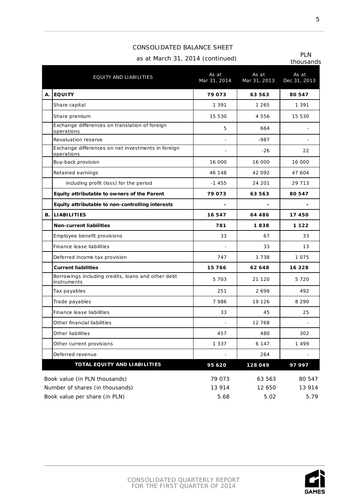thousands

As at

As at

| <b>PLN</b>         |                                  |
|--------------------|----------------------------------|
|                    | as at March 31, 2014 (continued) |
| $+$ <b>60.1000</b> |                                  |

CONSOLIDATED BALANCE SHEET

EQUITY AND LIABILITIES As at a media of the AS at a series and as at a series and as a series at a series and  $\alpha$ 

**A. EQUITY** 

**B.** LIABILITIES

|                                                                   | Mar 31, 2014 | Mar 31, 2013 | Dec 31, 2013 |
|-------------------------------------------------------------------|--------------|--------------|--------------|
| <b>EQUITY</b>                                                     | 79073        | 63 563       | 80 547       |
| Share capital                                                     | 1 3 9 1      | 1 265        | 1 3 9 1      |
| Share premium                                                     | 15 530       | 4 5 5 6      | 15 530       |
| Exchange differences on translation of foreign<br>operations      | 5            | 664          |              |
| Revaluation reserve                                               |              | $-987$       |              |
| Exchange differences on net investments in foreign<br>operations  |              | $-26$        | 22           |
| Buy-back provision                                                | 16 000       | 16 000       | 16 000       |
| Retained earnings                                                 | 46 148       | 42 092       | 47 604       |
| including profit (loss) for the period                            | $-1455$      | 24 201       | 29 713       |
| Equity attributable to owners of the Parent                       | 79 073       | 63 563       | 80 547       |
| Equity attributable to non-controlling interests                  |              |              |              |
| <b>LIABILITIES</b>                                                | 16547        | 64 486       | 17 450       |
| <b>Non-current liabilities</b>                                    | 781          | 1838         | 1 1 2 2      |
| Employee benefit provisions                                       | 33           | 67           | 33           |
| Finance lease liabilities                                         |              | 33           | 13           |
| Deferred income tax provision                                     | 747          | 1 738        | 1 0 7 5      |
| <b>Current liabilities</b>                                        | 15 766       | 62 648       | 16 3 28      |
| Borrowings including credits, loans and other debt<br>instruments | 5 7 0 3      | 21 1 20      | 5 7 2 0      |
| Tax payables                                                      | 251          | 2698         | 492          |
| Trade payables                                                    | 7986         | 19 1 26      | 8 2 9 0      |
| Finance lease liabilities                                         | 33           | 45           | 25           |
| Other financial liabilities                                       |              | 12 768       |              |

|                                 | Other current provisions            | 1 3 3 7 | 6 147   |        |  |
|---------------------------------|-------------------------------------|---------|---------|--------|--|
|                                 | Deferred revenue                    | -       | 264     |        |  |
|                                 | <b>TOTAL EQUITY AND LIABILITIES</b> | 95 6 20 | 128 049 | 97997  |  |
|                                 | Book value (in PLN thousands)       | 79 073  | 63 563  | 80 547 |  |
| Number of shares (in thousands) |                                     | 13 914  | 12 650  | 13 914 |  |
|                                 | Book value per share (in PLN)       | 5.68    | 5.02    | 5.79   |  |
|                                 |                                     |         |         |        |  |

Other liabilities  $\begin{array}{|c|c|c|c|c|c|c|c|c|} \hline & & & & & 457 & & 480 & & 302 \ \hline \end{array}$ 

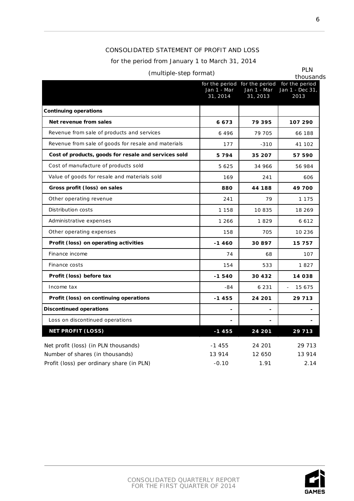# CONSOLIDATED STATEMENT OF PROFIT AND LOSS

#### for the period from January 1 to March 31, 2014

# (multiple-step format) PLN

|                                                      | Jan 1 - Mar<br>31, 2014 | Jan 1 - Mar<br>31, 2013 | for the period for the period for the period<br>Jan 1 - Dec 31,<br>2013 |
|------------------------------------------------------|-------------------------|-------------------------|-------------------------------------------------------------------------|
|                                                      |                         |                         |                                                                         |
| <b>Continuing operations</b>                         |                         |                         |                                                                         |
| Net revenue from sales                               | 6673                    | 79 395                  | 107 290                                                                 |
| Revenue from sale of products and services           | 6496                    | 79 705                  | 66 188                                                                  |
| Revenue from sale of goods for resale and materials  | 177                     | $-310$                  | 41 102                                                                  |
| Cost of products, goods for resale and services sold | 5794                    | 35 207                  | 57 590                                                                  |
| Cost of manufacture of products sold                 | 5 6 2 5                 | 34 966                  | 56 984                                                                  |
| Value of goods for resale and materials sold         | 169                     | 241                     | 606                                                                     |
| Gross profit (loss) on sales                         | 880                     | 44 188                  | 49 700                                                                  |
| Other operating revenue                              | 241                     | 79                      | 1 1 7 5                                                                 |
| Distribution costs                                   | 1 1 5 8                 | 10835                   | 18 269                                                                  |
| Administrative expenses                              | 1 266                   | 1829                    | 6 6 1 2                                                                 |
| Other operating expenses                             | 158                     | 705                     | 10 236                                                                  |
| Profit (loss) on operating activities                | $-1460$                 | 30897                   | 15 757                                                                  |
| Finance income                                       | 74                      | 68                      | 107                                                                     |
| Finance costs                                        | 154                     | 533                     | 1827                                                                    |
| Profit (loss) before tax                             | $-1540$                 | 30 432                  | 14 038                                                                  |
| Income tax                                           | -84                     | 6 2 3 1                 | 15 675                                                                  |
| Profit (loss) on continuing operations               | $-1455$                 | 24 201                  | 29 7 13                                                                 |
| <b>Discontinued operations</b>                       |                         |                         |                                                                         |
| Loss on discontinued operations                      |                         |                         |                                                                         |
| <b>NET PROFIT (LOSS)</b>                             | $-1455$                 | 24 201                  | 29 713                                                                  |
| Net profit (loss) (in PLN thousands)                 | $-1455$                 | 24 201                  | 29 713                                                                  |
| Number of shares (in thousands)                      | 13 914                  | 12 650                  | 13 914                                                                  |
| Profit (loss) per ordinary share (in PLN)            | $-0.10$                 | 1.91                    | 2.14                                                                    |

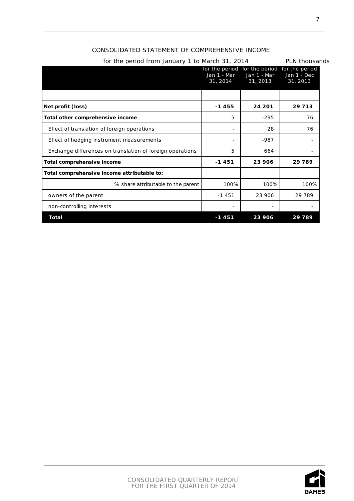| NSOLIDATED STATEMENT OF COMPREHENSIVE INCOME                                        |               |
|-------------------------------------------------------------------------------------|---------------|
| for the period from January 1 to March 31, 2014                                     | PLN thousands |
| for the period for the period for the period<br>Jan 1 - Mar Jan 1 - Mar Jan 1 - Dec |               |

7

|                                                           | for the period<br>Jan 1 - Mar<br>31, 2014 | for the period<br>Jan 1 - Mar<br>31, 2013 | for the period<br>Jan 1 - Dec<br>31, 2013 |
|-----------------------------------------------------------|-------------------------------------------|-------------------------------------------|-------------------------------------------|
|                                                           |                                           |                                           |                                           |
| Net profit (loss)                                         | $-1455$                                   | 24 201                                    | 29 7 13                                   |
| Total other comprehensive income                          | 5                                         | $-295$                                    | 76                                        |
| Effect of translation of foreign operations               |                                           | 28                                        | 76                                        |
| Effect of hedging instrument measurements                 |                                           | $-987$                                    |                                           |
| Exchange differences on translation of foreign operations | 5                                         | 664                                       |                                           |
| Total comprehensive income                                | $-1451$<br>23 906                         |                                           | 29 789                                    |
| Total comprehensive income attributable to:               |                                           |                                           |                                           |
| % share attributable to the parent                        | 100%                                      | 100%                                      | 100%                                      |
| owners of the parent                                      | $-1451$                                   | 23 906                                    | 29 789                                    |
| non-controlling interests                                 |                                           |                                           |                                           |
| Total                                                     | $-1451$                                   | 23 906                                    | 29789                                     |

# CONSOLIDATED STATEMENT OF COMPREH

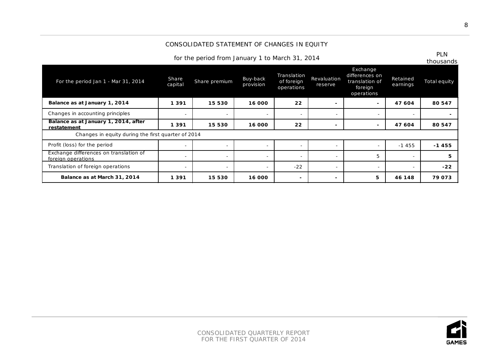# CONSOLIDATED STATEMENT OF CHANGES IN EQUITY

for the period from January 1 to March 31, 2014 PLN

| For the period Jan 1 - Mar 31, 2014                          | <b>Share</b><br>capital  | Share premium  | Buy-back<br>provision    | Translation<br>of foreign<br>operations | Revaluation<br>reserve   | Exchange<br>differences on<br>translation of<br>foreign<br>operations | Retained<br>earnings     | Total equity |
|--------------------------------------------------------------|--------------------------|----------------|--------------------------|-----------------------------------------|--------------------------|-----------------------------------------------------------------------|--------------------------|--------------|
| Balance as at January 1, 2014                                | 1391                     | 15 530         | 16 000                   | 22                                      |                          | $\sim$                                                                | 47 604                   | 80 547       |
| Changes in accounting principles                             |                          |                | $\overline{\phantom{a}}$ | $\overline{\phantom{a}}$                |                          | $\overline{\phantom{0}}$                                              |                          | -            |
| Balance as at January 1, 2014, after<br>restatement          | 1391                     | 15 530         | 16 000                   | 22                                      |                          | $\sim$                                                                | 47 604                   | 80 547       |
| Changes in equity during the first quarter of 2014           |                          |                |                          |                                         |                          |                                                                       |                          |              |
| Profit (loss) for the period                                 | $\overline{\phantom{0}}$ | $\overline{a}$ | $\overline{\phantom{a}}$ | $\overline{\phantom{a}}$                | $\overline{\phantom{0}}$ | $\overline{\phantom{a}}$                                              | $-1455$                  | $-1455$      |
| Exchange differences on translation of<br>foreign operations | $\overline{\phantom{0}}$ | $\overline{a}$ | $\overline{\phantom{a}}$ | $\overline{\phantom{a}}$                | $\overline{\phantom{0}}$ | 5                                                                     | $\overline{\phantom{0}}$ | 5.           |
| Translation of foreign operations                            |                          |                | $\overline{\phantom{0}}$ | $-22$                                   |                          | $\overline{\phantom{a}}$                                              |                          | $-22$        |
| Balance as at March 31, 2014                                 | 1391                     | 15 530         | 16 000                   | $\overline{\phantom{a}}$                |                          | 5                                                                     | 46 148                   | 79073        |

**GAMES**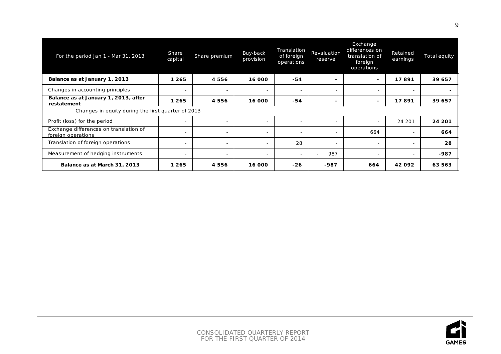| For the period Jan 1 - Mar 31, 2013                          | Share<br>capital         | Share premium            | Buy-back<br>provision    | Translation<br>of foreign<br>operations | Revaluation<br>reserve   | Exchange<br>differences on<br>translation of<br>foreign<br>operations | Retained<br>earnings     | Total equity |
|--------------------------------------------------------------|--------------------------|--------------------------|--------------------------|-----------------------------------------|--------------------------|-----------------------------------------------------------------------|--------------------------|--------------|
| Balance as at January 1, 2013                                | 1 2 6 5                  | 4556                     | 16 000                   | -54                                     | $\overline{\phantom{0}}$ | $\sim$                                                                | 17891                    | 39 657       |
| Changes in accounting principles                             | $\overline{\phantom{0}}$ | $\overline{\phantom{a}}$ | $\overline{\phantom{a}}$ | $\overline{\phantom{a}}$                |                          | $\overline{\phantom{a}}$                                              |                          | $\sim$       |
| Balance as at January 1, 2013, after<br>restatement          | 1 2 6 5                  | 4 5 5 6                  | 16 000                   | -54                                     | -                        | $\sim$                                                                | 17891                    | 39 657       |
| Changes in equity during the first quarter of 2013           |                          |                          |                          |                                         |                          |                                                                       |                          |              |
| Profit (loss) for the period                                 |                          |                          | $\overline{\phantom{0}}$ | $\overline{\phantom{a}}$                |                          | $\overline{\phantom{a}}$                                              | 24 201                   | 24 201       |
| Exchange differences on translation of<br>foreign operations | $\overline{\phantom{0}}$ | $\overline{\phantom{0}}$ | $\overline{\phantom{0}}$ | $\overline{\phantom{a}}$                |                          | 664                                                                   |                          | 664          |
| Translation of foreign operations                            | $\sim$                   | $\overline{\phantom{a}}$ | $\overline{\phantom{a}}$ | 28                                      | $\overline{\phantom{0}}$ | $\overline{\phantom{a}}$                                              | $\overline{\phantom{0}}$ | 28           |
| Measurement of hedging instruments                           | $\overline{\phantom{0}}$ | $\overline{\phantom{a}}$ | $\overline{\phantom{a}}$ | $\overline{\phantom{a}}$                | 987                      | $\overline{\phantom{a}}$                                              |                          | -987         |
| Balance as at March 31, 2013                                 | 1 2 6 5                  | 4556                     | 16 000                   | $-26$                                   | -987                     | 664                                                                   | 42092                    | 63 563       |

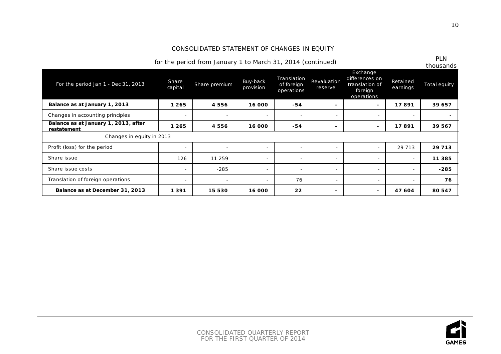#### CONSOLIDATED STATEMENT OF CHANGES IN EQUITY

for the period from January 1 to March 31, 2014 (continued)

| For the period Jan 1 - Dec 31, 2013                 | Share<br>capital | Share premium            | Buy-back<br>provision    | Translation<br>of foreign<br>operations | Revaluation<br>reserve   | Exchange<br>differences on<br>translation of<br>foreign<br>operations | Retained<br>earnings     | thousands<br>Total equity |
|-----------------------------------------------------|------------------|--------------------------|--------------------------|-----------------------------------------|--------------------------|-----------------------------------------------------------------------|--------------------------|---------------------------|
| Balance as at January 1, 2013                       | 1 2 6 5          | 4556                     | 16 000                   | $-54$                                   | $\overline{\phantom{0}}$ | ۰.                                                                    | 17891                    | 39 657                    |
| Changes in accounting principles                    |                  | $\overline{\phantom{a}}$ | $\overline{\phantom{a}}$ | $\overline{\phantom{a}}$                | $\overline{\phantom{a}}$ | $\overline{\phantom{a}}$                                              | $\overline{\phantom{a}}$ |                           |
| Balance as at January 1, 2013, after<br>restatement | 1 2 6 5          | 4556                     | 16 000                   | $-54$                                   |                          | $\blacksquare$                                                        | 17891                    | 39 567                    |
| Changes in equity in 2013                           |                  |                          |                          |                                         |                          |                                                                       |                          |                           |
| Profit (loss) for the period                        |                  | $\sim$                   | $\sim$                   | $\overline{\phantom{a}}$                | $\overline{\phantom{0}}$ | $\sim$                                                                | 29 7 13                  | 29 7 13                   |
| Share issue                                         | 126              | 11 259                   | $\overline{\phantom{a}}$ | $\overline{\phantom{a}}$                | $\overline{\phantom{a}}$ | $\overline{\phantom{a}}$                                              | $\overline{\phantom{a}}$ | 11 3 8 5                  |
| Share issue costs                                   |                  | $-285$                   | $\overline{\phantom{a}}$ | $\overline{\phantom{a}}$                | $\overline{\phantom{0}}$ | $\overline{\phantom{a}}$                                              | $\overline{\phantom{a}}$ | $-285$                    |
| Translation of foreign operations                   |                  | $\overline{\phantom{a}}$ | $\overline{\phantom{a}}$ | 76                                      | $\overline{\phantom{0}}$ | $\overline{\phantom{a}}$                                              | $\overline{\phantom{a}}$ | 76                        |
| Balance as at December 31, 2013                     | 1391             | 15 530                   | 16 000                   | 22                                      | -                        | $\blacksquare$                                                        | 47 604                   | 80 547                    |

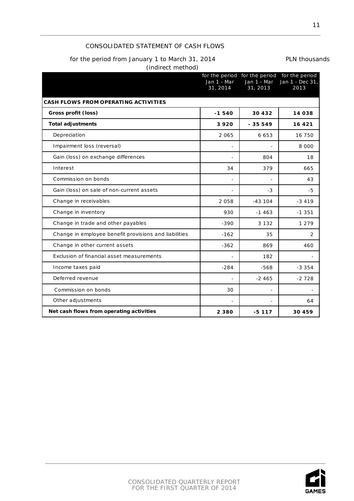# CONSOLIDATED STATEMENT OF CASH FLOWS

# for the period from January 1 to March 31, 2014 PLN thousands

(indirect method)

|                                                       | Jan 1 - Mar<br>31, 2014 | Jan 1 - Mar<br>31, 2013 | for the period for the period for the period<br>Jan 1 - Dec 31,<br>2013 |
|-------------------------------------------------------|-------------------------|-------------------------|-------------------------------------------------------------------------|
| <b>CASH FLOWS FROM OPERATING ACTIVITIES</b>           |                         |                         |                                                                         |
| Gross profit (loss)                                   | $-1540$                 | 30 4 3 2                | 14 038                                                                  |
| <b>Total adjustments</b>                              | 3920                    | $-35549$                | 16 421                                                                  |
| Depreciation                                          | 2 0 6 5                 | 6 6 5 3                 | 16 750                                                                  |
| Impairment loss (reversal)                            | $\qquad \qquad -$       |                         | 8 0 0 0                                                                 |
| Gain (loss) on exchange differences                   |                         | 804                     | 18                                                                      |
| Interest                                              | 34                      | 379                     | 665                                                                     |
| Commission on bonds                                   | $\overline{a}$          |                         | 43                                                                      |
| Gain (loss) on sale of non-current assets             |                         | $-3$                    | -5                                                                      |
| Change in receivables                                 | 2 0 5 8                 | $-43104$                | $-3419$                                                                 |
| Change in inventory                                   | 930                     | $-1463$                 | $-1.351$                                                                |
| Change in trade and other payables                    | $-390$                  | 3 1 3 2                 | 1 2 7 9                                                                 |
| Change in employee benefit provisions and liabilities | $-162$                  | 35                      | 2                                                                       |
| Change in other current assets                        | $-362$                  | 869                     | 460                                                                     |
| Exclusion of financial asset measurements             | $\overline{a}$          | 182                     |                                                                         |
| Income taxes paid                                     | $-284$                  | $-568$                  | $-3.354$                                                                |
| Deferred revenue                                      |                         | $-2465$                 | $-2728$                                                                 |
| Commission on bonds                                   | 30                      |                         |                                                                         |
| Other adjustments                                     |                         |                         | 64                                                                      |
| Net cash flows from operating activities              | 2 3 8 0                 | $-5117$                 | 30 459                                                                  |

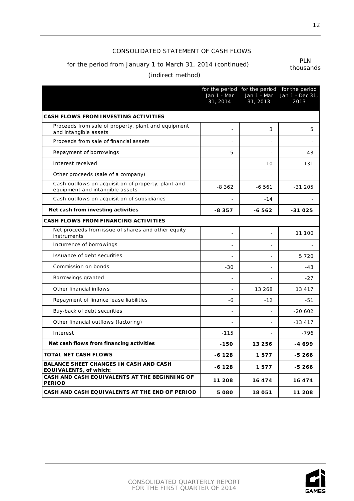# CONSOLIDATED STATEMENT OF CASH FLOWS

# for the period from January 1 to March 31, 2014 (continued) PLN

thousands

# (indirect method)

|                                                                                        | Jan 1 - Mar<br>31, 2014  | Jan 1 - Mar<br>31, 2013 | for the period for the period for the period<br>Jan 1 - Dec 31,<br>2013 |
|----------------------------------------------------------------------------------------|--------------------------|-------------------------|-------------------------------------------------------------------------|
| <b>CASH FLOWS FROM INVESTING ACTIVITIES</b>                                            |                          |                         |                                                                         |
| Proceeds from sale of property, plant and equipment<br>and intangible assets           |                          | 3                       | 5                                                                       |
| Proceeds from sale of financial assets                                                 |                          |                         |                                                                         |
| Repayment of borrowings                                                                | 5                        |                         | 43                                                                      |
| Interest received                                                                      |                          | 10                      | 131                                                                     |
| Other proceeds (sale of a company)                                                     | $\overline{a}$           |                         |                                                                         |
| Cash outflows on acquisition of property, plant and<br>equipment and intangible assets | $-8362$                  | $-6561$                 | $-31205$                                                                |
| Cash outflows on acquisition of subsidiaries                                           |                          | $-14$                   |                                                                         |
| Net cash from investing activities                                                     | -8357                    | -6 562                  | -31025                                                                  |
| <b>CASH FLOWS FROM FINANCING ACTIVITIES</b>                                            |                          |                         |                                                                         |
| Net proceeds from issue of shares and other equity<br>instruments                      |                          |                         | 11 100                                                                  |
| Incurrence of borrowings                                                               | $\overline{a}$           |                         |                                                                         |
| Issuance of debt securities                                                            |                          |                         | 5720                                                                    |
| Commission on bonds                                                                    | $-30$                    |                         | $-43$                                                                   |
| Borrowings granted                                                                     | $\overline{\phantom{a}}$ |                         | $-27$                                                                   |
| Other financial inflows                                                                |                          | 13 268                  | 13 417                                                                  |
| Repayment of finance lease liabilities                                                 | -6                       | $-12$                   | $-51$                                                                   |
| Buy-back of debt securities                                                            |                          |                         | $-20602$                                                                |
| Other financial outflows (factoring)                                                   |                          |                         | $-13417$                                                                |
| Interest                                                                               | $-115$                   |                         | $-796$                                                                  |
| Net cash flows from financing activities                                               | -150                     | 13 256                  | $-4699$                                                                 |
| <b>TOTAL NET CASH FLOWS</b>                                                            | -6 128                   | 1577                    | -5 266                                                                  |
| <b>BALANCE SHEET CHANGES IN CASH AND CASH</b><br><b>EQUIVALENTS, of which:</b>         | $-6128$                  | 1577                    | -5 266                                                                  |
| CASH AND CASH EQUIVALENTS AT THE BEGINNING OF<br><b>PERIOD</b>                         | 11 208                   | 16 474                  | 16 474                                                                  |
| CASH AND CASH EQUIVALENTS AT THE END OF PERIOD                                         | 5 080                    | 18 051                  | 11 208                                                                  |

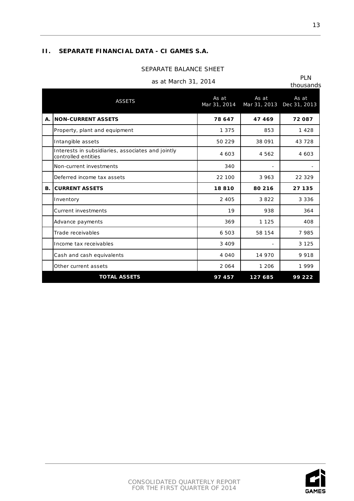# <span id="page-12-0"></span>**II. SEPARATE FINANCIAL DATA - CI GAMES S.A.**

#### SEPARATE BALANCE SHEET

|                      | <b>PLN</b>   |
|----------------------|--------------|
| as at March 31, 2014 | $th^{\circ}$ |

| <b>ASSETS</b> |                                                                          | As at<br>Mar 31, 2014 | As at<br>Mar 31, 2013 | As at<br>Dec 31, 2013 |
|---------------|--------------------------------------------------------------------------|-----------------------|-----------------------|-----------------------|
| Α.            | <b>NON-CURRENT ASSETS</b>                                                | 78 647                | 47469                 | 72087                 |
|               | Property, plant and equipment                                            | 1 3 7 5               | 853                   | 1428                  |
|               | Intangible assets                                                        | 50 229                | 38 091                | 43 7 28               |
|               | Interests in subsidiaries, associates and jointly<br>controlled entities | 4 6 0 3               | 4 5 6 2               | 4 6 0 3               |
|               | Non-current investments                                                  | 340                   |                       |                       |
|               | Deferred income tax assets                                               | 22 100                | 3 9 6 3               | 22 3 29               |
| В.            | <b>CURRENT ASSETS</b>                                                    | 18810                 | 80 216                | 27 135                |
|               | Inventory                                                                | 2 4 0 5               | 3822                  | 3 3 3 6               |
|               | <b>Current investments</b>                                               | 19                    | 938                   | 364                   |
|               | Advance payments                                                         | 369                   | 1 1 2 5               | 408                   |
|               | Trade receivables                                                        | 6 503                 | 58 154                | 7985                  |
|               | Income tax receivables                                                   | 3 4 0 9               |                       | 3 1 2 5               |
|               | Cash and cash equivalents                                                | 4 0 4 0               | 14 970                | 9918                  |
|               | Other current assets                                                     | 2064                  | 1 2 0 6               | 1999                  |
|               | <b>TOTAL ASSETS</b>                                                      | 97457                 | 127 685               | 99 222                |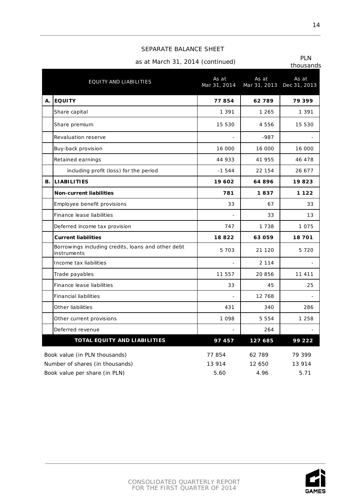#### SEPARATE BALANCE SHEET

# as at March 31, 2014 (continued) PLN

| EQUITY AND LIABILITIES |                                                                   | As at<br>Mar 31, 2014 | As at   | As at<br>Mar 31, 2013 Dec 31, 2013 |
|------------------------|-------------------------------------------------------------------|-----------------------|---------|------------------------------------|
| Α.                     | <b>EQUITY</b>                                                     | 77854                 | 62789   | 79 399                             |
|                        | Share capital                                                     | 1 3 9 1               | 1 265   | 1 3 9 1                            |
|                        | Share premium                                                     | 15 530                | 4556    | 15 530                             |
|                        | Revaluation reserve                                               |                       | $-987$  |                                    |
|                        | Buy-back provision                                                | 16 000                | 16 000  | 16 000                             |
|                        | Retained earnings                                                 | 44 933                | 41 955  | 46 478                             |
|                        | including profit (loss) for the period                            | $-1544$               | 22 154  | 26 677                             |
| В.                     | <b>LIABILITIES</b>                                                | 19 602                | 64896   | 19823                              |
|                        | <b>Non-current liabilities</b>                                    | 781                   | 1837    | 1 1 2 2                            |
|                        | Employee benefit provisions                                       | 33                    | 67      | 33                                 |
|                        | Finance lease liabilities                                         |                       | 33      | 13                                 |
|                        | Deferred income tax provision                                     | 747                   | 1 7 3 8 | 1075                               |
|                        | <b>Current liabilities</b>                                        | 18822                 | 63059   | 18701                              |
|                        | Borrowings including credits, loans and other debt<br>instruments | 5 7 0 3               | 21 1 20 | 5720                               |
|                        | Income tax liabilities                                            |                       | 2 1 1 4 |                                    |
|                        | Trade payables                                                    | 11 557                | 20 856  | 11 4 11                            |
|                        | Finance lease liabilities                                         | 33                    | 45      | 25                                 |
|                        | <b>Financial liabilities</b>                                      |                       | 12 768  |                                    |
|                        | Other liabilities                                                 | 431                   | 340     | 286                                |
|                        | Other current provisions                                          | 1 0 9 8               | 5 5 5 4 | 1 2 5 8                            |
|                        | Deferred revenue                                                  |                       | 264     |                                    |
|                        | <b>TOTAL EQUITY AND LIABILITIES</b>                               | 97457                 | 127 685 | 99 222                             |
|                        | Book value (in PLN thousands)                                     | 77854                 | 62 789  | 79 399                             |
|                        | Number of shares (in thousands)                                   | 13 914                | 12 650  | 13 914                             |
|                        | Book value per share (in PLN)                                     | 5.60                  | 4.96    | 5.71                               |

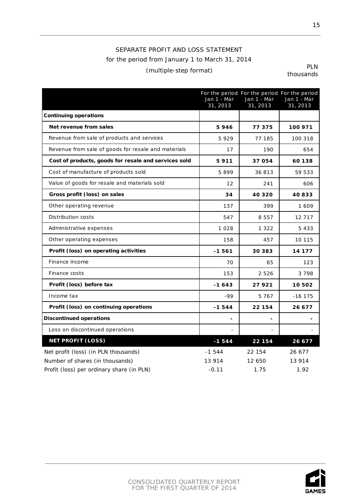# SEPARATE PROFIT AND LOSS STATEMENT for the period from January 1 to March 31, 2014 (multiple-step format) PLN

|                                                      | Jan 1 - Mar<br>31, 2013 | Jan 1 - Mar<br>31, 2013 | For the period For the period For the period<br>Jan 1 - Mar<br>31, 2013 |
|------------------------------------------------------|-------------------------|-------------------------|-------------------------------------------------------------------------|
| <b>Continuing operations</b>                         |                         |                         |                                                                         |
| Net revenue from sales                               | 5946                    | 77375                   | 100 971                                                                 |
| Revenue from sale of products and services           | 5929                    | 77 185                  | 100 318                                                                 |
| Revenue from sale of goods for resale and materials  | 17                      | 190                     | 654                                                                     |
| Cost of products, goods for resale and services sold | 5911                    | 37054                   | 60 138                                                                  |
| Cost of manufacture of products sold                 | 5899                    | 36813                   | 59 533                                                                  |
| Value of goods for resale and materials sold         | 12                      | 241                     | 606                                                                     |
| Gross profit (loss) on sales                         | 34                      | 40 3 20                 | 40833                                                                   |
| Other operating revenue                              | 137                     | 399                     | 1 609                                                                   |
| Distribution costs                                   | 547                     | 8 5 5 7                 | 12 7 17                                                                 |
| Administrative expenses                              | 1 0 2 8                 | 1 3 2 2                 | 5433                                                                    |
| Other operating expenses                             | 158                     | 457                     | 10 115                                                                  |
| Profit (loss) on operating activities                | $-1561$                 | 30 383                  | 14 177                                                                  |
| Finance income                                       | 70                      | 65                      | 123                                                                     |
| Finance costs                                        | 153                     | 2526                    | 3798                                                                    |
| Profit (loss) before tax                             | $-1643$                 | 27921                   | 10 502                                                                  |
| Income tax                                           | -99                     | 5767                    | $-16$ 175                                                               |
| Profit (loss) on continuing operations               | $-1544$                 | 22 154                  | 26 677                                                                  |
| <b>Discontinued operations</b>                       |                         |                         |                                                                         |
| Loss on discontinued operations                      |                         |                         |                                                                         |
| <b>NET PROFIT (LOSS)</b>                             | $-1544$                 | 22 154                  | 26 677                                                                  |
| Net profit (loss) (in PLN thousands)                 | $-1544$                 | 22 154                  | 26 677                                                                  |
| Number of shares (in thousands)                      | 13 914                  | 12 650                  | 13 914                                                                  |
| Profit (loss) per ordinary share (in PLN)            | $-0.11$                 | 1.75                    | 1.92                                                                    |

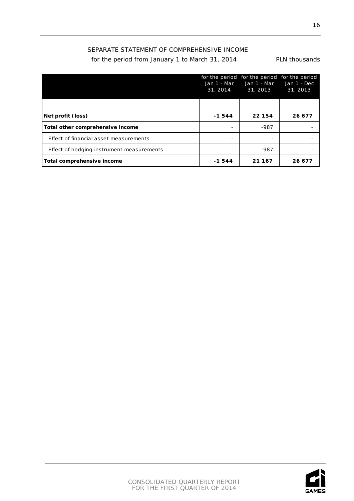# SEPARATE STATEMENT OF COMPREHENSIVE INCOME

for the period from January 1 to March 31, 2014 PLN thousands

|                                           | Jan 1 - Mar<br>31, 2014 | for the period for the period for the period<br>Jan 1 - Mar<br>31, 2013 | Jan 1 - Dec<br>31, 2013 |
|-------------------------------------------|-------------------------|-------------------------------------------------------------------------|-------------------------|
|                                           |                         |                                                                         |                         |
| Net profit (loss)                         | $-1544$                 | 22 154                                                                  | 26 677                  |
| Total other comprehensive income          |                         | $-987$                                                                  |                         |
| Effect of financial asset measurements    |                         |                                                                         |                         |
| Effect of hedging instrument measurements |                         | -987                                                                    |                         |
| Total comprehensive income                | -1544                   | 21 167                                                                  | 26 677                  |

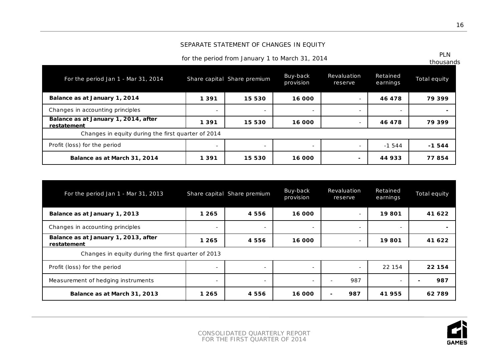# SEPARATE STATEMENT OF CHANGES IN EQUITY

for the period from January 1 to March 31, 2014 PLN

| PI N      |
|-----------|
| thousands |

| For the period Jan 1 - Mar 31, 2014                 |                          | Share capital Share premium | Buy-back<br>provision    | Revaluation<br>reserve   | Retained<br>earnings     | Total equity |
|-----------------------------------------------------|--------------------------|-----------------------------|--------------------------|--------------------------|--------------------------|--------------|
| Balance as at January 1, 2014                       | 1 3 9 1                  | 15 530                      | 16 000                   | $\overline{\phantom{a}}$ | 46 478                   | 79 399       |
| Changes in accounting principles                    | $\overline{\phantom{a}}$ | $\overline{\phantom{0}}$    | $\overline{\phantom{0}}$ | $\overline{\phantom{a}}$ | $\overline{\phantom{a}}$ |              |
| Balance as at January 1, 2014, after<br>restatement | 1 3 9 1                  | 15 530                      | 16 000                   |                          | 46 478                   | 79 399       |
| Changes in equity during the first quarter of 2014  |                          |                             |                          |                          |                          |              |
| Profit (loss) for the period                        | $\overline{\phantom{a}}$ | $\overline{\phantom{0}}$    |                          |                          | $-1544$                  | $-1544$      |
| Balance as at March 31, 2014                        | 1 3 9 1                  | 15 530                      | 16 000                   |                          | 44933                    | 77854        |

| For the period Jan 1 - Mar 31, 2013                 |                          | Share capital Share premium | Buy-back<br>provision    | Revaluation<br>reserve          | Retained<br>earnings     | Total equity |
|-----------------------------------------------------|--------------------------|-----------------------------|--------------------------|---------------------------------|--------------------------|--------------|
| Balance as at January 1, 2013                       | 1 265                    | 4 5 5 6                     | 16 000                   |                                 | 19801                    | 41 622       |
| Changes in accounting principles                    | $\overline{\phantom{a}}$ | ۰.                          | ۰                        | $\overline{\phantom{a}}$        |                          |              |
| Balance as at January 1, 2013, after<br>restatement | 1 265                    | 4 5 5 6                     | 16 000                   | $\overline{\phantom{a}}$        | 19801                    | 41 622       |
| Changes in equity during the first quarter of 2013  |                          |                             |                          |                                 |                          |              |
| Profit (loss) for the period                        | $\overline{\phantom{a}}$ | $\overline{\phantom{a}}$    | ۰                        | $\overline{\phantom{a}}$        | 22 154                   | 22 154       |
| Measurement of hedging instruments                  | $\overline{\phantom{a}}$ | $\overline{\phantom{a}}$    | $\overline{\phantom{a}}$ | 987<br>۰                        | $\overline{\phantom{a}}$ | 987          |
| Balance as at March 31, 2013                        | 1 265                    | 4556                        | 16 000                   | 987<br>$\overline{\phantom{0}}$ | 41955                    | 62789        |

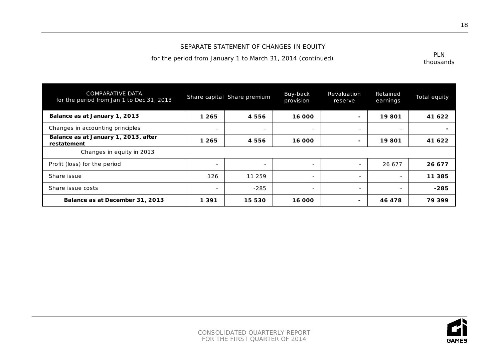# SEPARATE STATEMENT OF CHANGES IN EQUITY

for the period from January 1 to March 31, 2014 (continued)

| PI N      |
|-----------|
| thousands |

| <b>COMPARATIVE DATA</b><br>for the period from Jan 1 to Dec 31, 2013 |                          | Share capital Share premium | Buy-back<br>provision    | Revaluation<br>reserve   | Retained<br>earnings | Total equity |
|----------------------------------------------------------------------|--------------------------|-----------------------------|--------------------------|--------------------------|----------------------|--------------|
| Balance as at January 1, 2013                                        | 1 265                    | 4556                        | 16 000                   | $\blacksquare$           | 19801                | 41 622       |
| Changes in accounting principles                                     |                          | $\overline{\phantom{0}}$    | $\overline{\phantom{0}}$ | $\overline{\phantom{0}}$ |                      |              |
| Balance as at January 1, 2013, after<br>restatement                  | 1 265                    | 4556                        | 16 000                   | $\overline{\phantom{0}}$ | 19801                | 41 622       |
| Changes in equity in 2013                                            |                          |                             |                          |                          |                      |              |
| Profit (loss) for the period                                         | $\overline{\phantom{a}}$ | $\overline{\phantom{0}}$    | $\overline{\phantom{a}}$ | $\overline{\phantom{a}}$ | 26 677               | 26 677       |
| Share issue                                                          | 126                      | 11 259                      | $\overline{\phantom{0}}$ | $\overline{\phantom{0}}$ |                      | 11 3 8 5     |
| Share issue costs                                                    |                          | $-285$                      | $\overline{\phantom{0}}$ | $\overline{\phantom{a}}$ |                      | $-285$       |
| Balance as at December 31, 2013                                      | 1 3 9 1                  | 15 530                      | 16 000                   | $\blacksquare$           | 46 478               | 79399        |

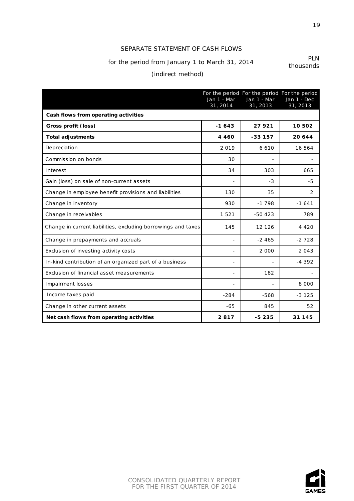# SEPARATE STATEMENT OF CASH FLOWS

# for the period from January 1 to March 31, 2014

thousands

# (indirect method)

|                                                               | Jan 1 - Mar<br>31, 2014 | For the period For the period For the period<br>Jan 1 - Mar<br>31, 2013 | Jan 1 - Dec<br>31, 2013 |
|---------------------------------------------------------------|-------------------------|-------------------------------------------------------------------------|-------------------------|
| Cash flows from operating activities                          |                         |                                                                         |                         |
| Gross profit (loss)                                           | $-1643$                 | 27921                                                                   | 10502                   |
| <b>Total adjustments</b>                                      | 4 4 6 0                 | $-33157$                                                                | 20 644                  |
| Depreciation                                                  | 2019                    | 6 6 1 0                                                                 | 16 564                  |
| Commission on bonds                                           | 30                      |                                                                         |                         |
| Interest                                                      | 34                      | 303                                                                     | 665                     |
| Gain (loss) on sale of non-current assets                     |                         | $-3$                                                                    | -5                      |
| Change in employee benefit provisions and liabilities         | 130                     | 35                                                                      | 2                       |
| Change in inventory                                           | 930                     | $-1798$                                                                 | $-1641$                 |
| Change in receivables                                         | 1521                    | $-50423$                                                                | 789                     |
| Change in current liabilities, excluding borrowings and taxes | 145                     | 12 126                                                                  | 4 4 2 0                 |
| Change in prepayments and accruals                            |                         | $-2465$                                                                 | $-2728$                 |
| Exclusion of investing activity costs                         |                         | 2 0 0 0                                                                 | 2 0 4 3                 |
| In-kind contribution of an organized part of a business       |                         |                                                                         | $-4.392$                |
| Exclusion of financial asset measurements                     |                         | 182                                                                     |                         |
| Impairment losses                                             |                         |                                                                         | 8 0 0 0                 |
| Income taxes paid                                             | $-284$                  | $-568$                                                                  | $-3, 125$               |
| Change in other current assets                                | $-65$                   | 845                                                                     | 52                      |
| Net cash flows from operating activities                      | 2817                    | $-5235$                                                                 | 31 145                  |



19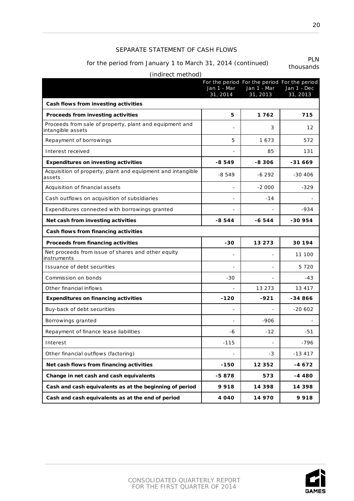#### SEPARATE STATEMENT OF CASH FLOWS

# for the period from January 1 to March 31, 2014 (continued) PLN

| (indirect method)                                                            |                          |                          |                                                                         |
|------------------------------------------------------------------------------|--------------------------|--------------------------|-------------------------------------------------------------------------|
|                                                                              | Jan 1 - Mar<br>31, 2014  | Jan 1 - Mar<br>31, 2013  | For the period For the period For the period<br>Jan 1 - Dec<br>31, 2013 |
| Cash flows from investing activities                                         |                          |                          |                                                                         |
| Proceeds from investing activities                                           | 5                        | 1762                     | 715                                                                     |
| Proceeds from sale of property, plant and equipment and<br>intangible assets |                          | 3                        | 12                                                                      |
| Repayment of borrowings                                                      | 5                        | 1673                     | 572                                                                     |
| Interest received                                                            |                          | 85                       | 131                                                                     |
| <b>Expenditures on investing activities</b>                                  | $-8549$                  | $-8306$                  | -31 669                                                                 |
| Acquisition of property, plant and equipment and intangible<br>assets        | $-8549$                  | $-6292$                  | $-30406$                                                                |
| Acquisition of financial assets                                              | $\overline{\phantom{0}}$ | $-2000$                  | $-329$                                                                  |
| Cash outflows on acquisition of subsidiaries                                 |                          | $-14$                    |                                                                         |
| Expenditures connected with borrowings granted                               |                          |                          | $-934$                                                                  |
| Net cash from investing activities                                           | $-8544$                  | $-6544$                  | -30 954                                                                 |
| Cash flows from financing activities                                         |                          |                          |                                                                         |
| Proceeds from financing activities                                           | -30                      | 13 273                   | 30 194                                                                  |
| Net proceeds from issue of shares and other equity<br>instruments            |                          |                          | 11 100                                                                  |
| Issuance of debt securities                                                  |                          | $\overline{a}$           | 5 7 2 0                                                                 |
| Commission on bonds                                                          | $-30$                    |                          | $-43$                                                                   |
| Other financial inflows                                                      |                          | 13 273                   | 13 417                                                                  |
| <b>Expenditures on financing activities</b>                                  | $-120$                   | -921                     | -34 866                                                                 |
| Buy-back of debt securities                                                  |                          |                          | $-20602$                                                                |
| Borrowings granted                                                           |                          | $-906$                   |                                                                         |
| Repayment of finance lease liabilities                                       | -6                       | $-12$                    | $-51$                                                                   |
| Interest                                                                     | $-115$                   | $\overline{\phantom{0}}$ | $-796$                                                                  |
| Other financial outflows (factoring)                                         |                          | -3                       | $-13417$                                                                |
| Net cash flows from financing activities                                     | $-150$                   | 12 3 5 2                 | $-4672$                                                                 |
| Change in net cash and cash equivalents                                      | -5878                    | 573                      | $-4480$                                                                 |
| Cash and cash equivalents as at the beginning of period                      | 9918                     | 14 398                   | 14 3 9 8                                                                |
| Cash and cash equivalents as at the end of period                            | 4 0 4 0                  | 14 970                   | 9918                                                                    |

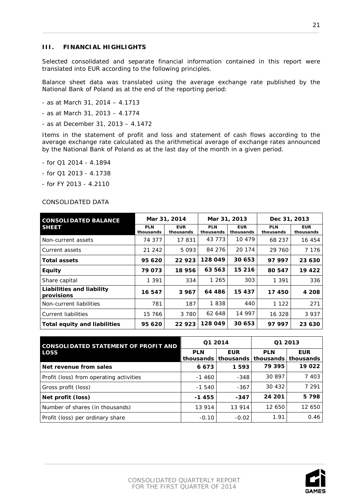#### <span id="page-20-0"></span>**III. FINANCIAL HIGHLIGHTS**

Selected consolidated and separate financial information contained in this report were translated into EUR according to the following principles.

Balance sheet data was translated using the average exchange rate published by the National Bank of Poland as at the end of the reporting period:

- as at March 31, 2014 4.1713
- as at March 31, 2013 4.1774
- as at December 31, 2013 4.1472

Items in the statement of profit and loss and statement of cash flows according to the average exchange rate calculated as the arithmetical average of exchange rates announced by the National Bank of Poland as at the last day of the month in a given period.

- for Q1 2014 4.1894
- for Q1 2013 4.1738
- for FY 2013 4.2110

#### CONSOLIDATED DATA

| <b>CONSOLIDATED BALANCE</b>             | Mar 31, 2014            |                         | Mar 31, 2013            |                         | Dec 31, 2013            |                         |
|-----------------------------------------|-------------------------|-------------------------|-------------------------|-------------------------|-------------------------|-------------------------|
| <b>SHEET</b>                            | <b>PLN</b><br>thousands | <b>EUR</b><br>thousands | <b>PLN</b><br>thousands | <b>EUR</b><br>thousands | <b>PLN</b><br>thousands | <b>EUR</b><br>thousands |
| Non-current assets                      | 74 377                  | 17831                   | 43 7 7 3                | 10 479                  | 68 237                  | 16 454                  |
| Current assets                          | 21 24 2                 | 5 0 9 3                 | 84 276                  | 20 174                  | 29 760                  | 7 1 7 6                 |
| <b>Total assets</b>                     | 95 620                  | 22923                   | 128 049                 | 30 653                  | 97 997                  | 23 630                  |
| <b>Equity</b>                           | 79 073                  | 18 956                  | 63 563                  | 15 216                  | 80 547                  | 19 4 22                 |
| Share capital                           | 1 3 9 1                 | 334                     | 1 265                   | 303                     | 1 3 9 1                 | 336                     |
| Liabilities and liability<br>provisions | 16 547                  | 3 967                   | 64 486                  | 15 437                  | 17450                   | 4 208                   |
| Non-current liabilities                 | 781                     | 187                     | 1838                    | 440                     | 1 1 2 2                 | 271                     |
| <b>Current liabilities</b>              | 15 766                  | 3 7 8 0                 | 62 648                  | 14 997                  | 16 328                  | 3 9 3 7                 |
| <b>Total equity and liabilities</b>     | 95 620                  | 22923                   | 128 049                 | 30 653                  | 97 997                  | 23 630                  |

| <b>CONSOLIDATED STATEMENT OF PROFIT AND</b> |            | Q1 2014                             | Q1 2013    |                                   |  |
|---------------------------------------------|------------|-------------------------------------|------------|-----------------------------------|--|
| <b>LOSS</b>                                 | <b>PLN</b> | <b>EUR</b><br>thousands thousands l | <b>PLN</b> | <b>EUR</b><br>thousands thousands |  |
| Net revenue from sales                      | 6673       | 1593                                | 79 395     | 19 022                            |  |
| Profit (loss) from operating activities     | $-1460$    | $-348$                              | 30 897     | 7 4 0 3                           |  |
| Gross profit (loss)                         | $-1540$    | $-367$                              | 30 432     | 7 2 9 1                           |  |
| Net profit (loss)                           | $-1455$    | $-347$                              | 24 201     | 5 7 9 8                           |  |
| Number of shares (in thousands)             | 13 914     | 13 914                              | 12 650     | 12 650                            |  |
| Profit (loss) per ordinary share            | $-0.10$    | $-0.02$                             | 1.91       | 0.46                              |  |

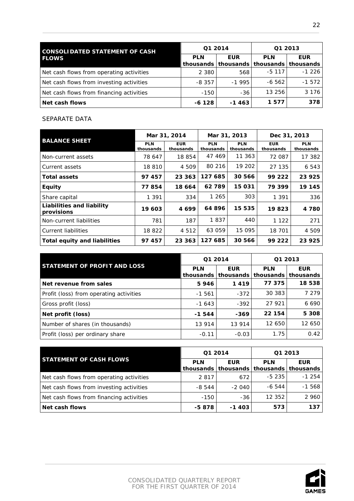| <b>CONSOLIDATED STATEMENT OF CASH</b>    | Q1 2014    |            | Q1 2013    |                                                             |  |
|------------------------------------------|------------|------------|------------|-------------------------------------------------------------|--|
| <b>FLOWS</b>                             | <b>PLN</b> | <b>EUR</b> | <b>PLN</b> | <b>EUR</b><br>thousands   thousands   thousands   thousands |  |
| Net cash flows from operating activities | 2 3 8 0    | 568        | $-5, 117$  | $-1226$                                                     |  |
| Net cash flows from investing activities | $-8.357$   | $-1995$    | $-6562$    | $-1572$                                                     |  |
| Net cash flows from financing activities | $-150$     | $-36$      | 13 256     | 3 1 7 6 1                                                   |  |
| <b>Net cash flows</b>                    | $-6128$    | $-1463$    | 1577       | 378                                                         |  |

#### SEPARATE DATA

| <b>BALANCE SHEET</b>                    | Mar 31, 2014            |                         | Mar 31, 2013            |                         | Dec 31, 2013            |                         |
|-----------------------------------------|-------------------------|-------------------------|-------------------------|-------------------------|-------------------------|-------------------------|
|                                         | <b>PLN</b><br>thousands | <b>EUR</b><br>thousands | <b>PLN</b><br>thousands | <b>PLN</b><br>thousands | <b>EUR</b><br>thousands | <b>PLN</b><br>thousands |
| Non-current assets                      | 78 647                  | 18 854                  | 47 469                  | 11 363                  | 72 087                  | 17 382                  |
| Current assets                          | 18 810                  | 4 509                   | 80 216                  | 19 202                  | 27 135                  | 6 5 4 3                 |
| <b>Total assets</b>                     | 97 457                  | 23 363                  | 127 685                 | 30 566                  | 99 222                  | 23 925                  |
| <b>Equity</b>                           | 77854                   | 18 664                  | 62789                   | 15 031                  | 79 399                  | 19 145                  |
| Share capital                           | 1 3 9 1                 | 334                     | 1 265                   | 303                     | 1 3 9 1                 | 336                     |
| Liabilities and liability<br>provisions | 19 603                  | 4699                    | 64896                   | 15 535                  | 19823                   | 4 7 8 0                 |
| Non-current liabilities                 | 781                     | 187                     | 1837                    | 440                     | 1 1 2 2                 | 271                     |
| <b>Current liabilities</b>              | 18 822                  | 4 5 1 2                 | 63 059                  | 15 0 95                 | 18 701                  | 4 509                   |
| Total equity and liabilities            | 97 457                  | 23 363                  | 127 685                 | 30 566                  | 99 222                  | 23 925                  |

|                                         | Q1 2014    |                                     | Q1 2013    |                                   |  |
|-----------------------------------------|------------|-------------------------------------|------------|-----------------------------------|--|
| <b>STATEMENT OF PROFIT AND LOSS</b>     | <b>PLN</b> | <b>EUR</b><br>thousands   thousands | <b>PLN</b> | <b>EUR</b><br>thousands thousands |  |
| Net revenue from sales                  | 5946       | 1419                                | 77 375     | 18 538                            |  |
| Profit (loss) from operating activities | $-1561$    | $-372$                              | 30 383     | 7 279                             |  |
| Gross profit (loss)                     | $-1643$    | $-392$                              | 27 921     | 6 6 9 0                           |  |
| Net profit (loss)                       | $-1544$    | -369                                | 22 154     | 5 3 0 8                           |  |
| Number of shares (in thousands)         | 13 914     | 13 914                              | 12 650     | 12 650                            |  |
| Profit (loss) per ordinary share        | $-0.11$    | $-0.03$                             | 1.75       | 0.42                              |  |

|                                          |            | Q1 2014               | Q1 2013    |                       |  |
|------------------------------------------|------------|-----------------------|------------|-----------------------|--|
| <b>STATEMENT OF CASH FLOWS</b>           | <b>PLN</b> | <b>EUR</b>            | <b>PLN</b> | <b>EUR</b>            |  |
|                                          |            | thousands   thousands |            | thousands   thousands |  |
| Net cash flows from operating activities | 2 8 1 7    | 672                   | $-5235$    | $-1254$               |  |
| Net cash flows from investing activities | $-8544$    | $-2040$               | $-6544$    | $-1568$               |  |
| Net cash flows from financing activities | $-150$     | $-36$                 | 12 3 5 2   | 2 9 6 0               |  |
| Net cash flows                           | -5878      | -1 403                | 573        | 137                   |  |

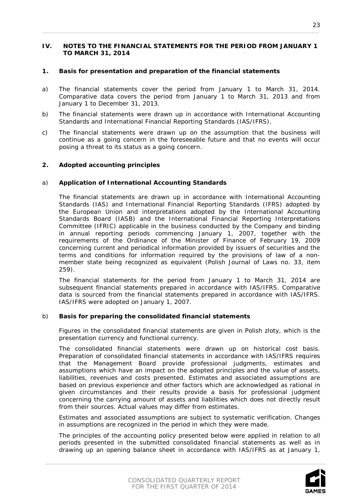#### <span id="page-22-0"></span>**IV. NOTES TO THE FINANCIAL STATEMENTS FOR THE PERIOD FROM JANUARY 1 TO MARCH 31, 2014**

#### <span id="page-22-1"></span>**1. Basis for presentation and preparation of the financial statements**

- a) The financial statements cover the period from January 1 to March 31, 2014. Comparative data covers the period from January 1 to March 31, 2013 and from January 1 to December 31, 2013.
- b) The financial statements were drawn up in accordance with International Accounting Standards and International Financial Reporting Standards (IAS/IFRS).
- c) The financial statements were drawn up on the assumption that the business will continue as a going concern in the foreseeable future and that no events will occur posing a threat to its status as a going concern.

#### <span id="page-22-2"></span>**2. Adopted accounting principles**

#### a) **Application of International Accounting Standards**

The financial statements are drawn up in accordance with International Accounting Standards (IAS) and International Financial Reporting Standards (IFRS) adopted by the European Union and interpretations adopted by the International Accounting Standards Board (IASB) and the International Financial Reporting Interpretations Committee (IFRIC) applicable in the business conducted by the Company and binding in annual reporting periods commencing January 1, 2007, together with the requirements of the Ordinance of the Minister of Finance of February 19, 2009 concerning current and periodical information provided by issuers of securities and the terms and conditions for information required by the provisions of law of a nonmember state being recognized as equivalent (Polish Journal of Laws no. 33, item 259).

The financial statements for the period from January 1 to March 31, 2014 are subsequent financial statements prepared in accordance with IAS/IFRS. Comparative data is sourced from the financial statements prepared in accordance with IAS/IFRS. IAS/IFRS were adopted on January 1, 2007.

#### b) **Basis for preparing the consolidated financial statements**

Figures in the consolidated financial statements are given in Polish zloty, which is the presentation currency and functional currency.

The consolidated financial statements were drawn up on historical cost basis. Preparation of consolidated financial statements in accordance with IAS/IFRS requires that the Management Board provide professional judgments, estimates and assumptions which have an impact on the adopted principles and the value of assets, liabilities, revenues and costs presented. Estimates and associated assumptions are based on previous experience and other factors which are acknowledged as rational in given circumstances and their results provide a basis for professional judgment concerning the carrying amount of assets and liabilities which does not directly result from their sources. Actual values may differ from estimates.

Estimates and associated assumptions are subject to systematic verification. Changes in assumptions are recognized in the period in which they were made.

The principles of the accounting policy presented below were applied in relation to all periods presented in the submitted consolidated financial statements as well as in drawing up an opening balance sheet in accordance with IAS/IFRS as at January 1,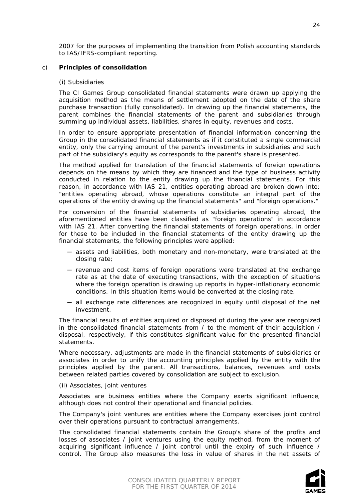2007 for the purposes of implementing the transition from Polish accounting standards to IAS/IFRS-compliant reporting.

#### c) **Principles of consolidation**

#### *(i) Subsidiaries*

The CI Games Group consolidated financial statements were drawn up applying the acquisition method as the means of settlement adopted on the date of the share purchase transaction (fully consolidated). In drawing up the financial statements, the parent combines the financial statements of the parent and subsidiaries through summing up individual assets, liabilities, shares in equity, revenues and costs.

In order to ensure appropriate presentation of financial information concerning the Group in the consolidated financial statements as if it constituted a single commercial entity, only the carrying amount of the parent's investments in subsidiaries and such part of the subsidiary's equity as corresponds to the parent's share is presented.

The method applied for translation of the financial statements of foreign operations depends on the means by which they are financed and the type of business activity conducted in relation to the entity drawing up the financial statements. For this reason, in accordance with IAS 21, entities operating abroad are broken down into: "entities operating abroad, whose operations constitute an integral part of the operations of the entity drawing up the financial statements" and "foreign operations."

For conversion of the financial statements of subsidiaries operating abroad, the aforementioned entities have been classified as "foreign operations" in accordance with IAS 21. After converting the financial statements of foreign operations, in order for these to be included in the financial statements of the entity drawing up the financial statements, the following principles were applied:

- ─ assets and liabilities, both monetary and non-monetary, were translated at the closing rate;
- ─ revenue and cost items of foreign operations were translated at the exchange rate as at the date of executing transactions, with the exception of situations where the foreign operation is drawing up reports in hyper-inflationary economic conditions. In this situation items would be converted at the closing rate.
- ─ all exchange rate differences are recognized in equity until disposal of the net investment.

The financial results of entities acquired or disposed of during the year are recognized in the consolidated financial statements from / to the moment of their acquisition / disposal, respectively, if this constitutes significant value for the presented financial statements.

Where necessary, adjustments are made in the financial statements of subsidiaries or associates in order to unify the accounting principles applied by the entity with the principles applied by the parent. All transactions, balances, revenues and costs between related parties covered by consolidation are subject to exclusion.

#### *(ii) Associates, joint ventures*

Associates are business entities where the Company exerts significant influence, although does not control their operational and financial policies.

The Company's joint ventures are entities where the Company exercises joint control over their operations pursuant to contractual arrangements.

The consolidated financial statements contain the Group's share of the profits and losses of associates / joint ventures using the equity method, from the moment of acquiring significant influence / joint control until the expiry of such influence / control. The Group also measures the loss in value of shares in the net assets of



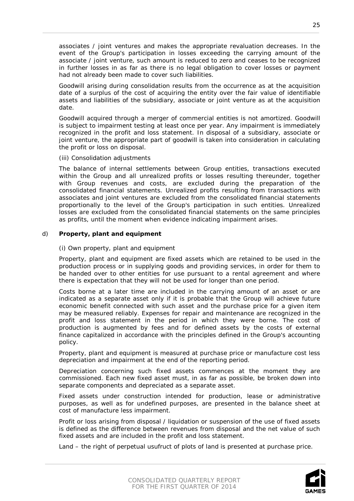associates / joint ventures and makes the appropriate revaluation decreases. In the event of the Group's participation in losses exceeding the carrying amount of the associate / joint venture, such amount is reduced to zero and ceases to be recognized in further losses in as far as there is no legal obligation to cover losses or payment had not already been made to cover such liabilities.

Goodwill arising during consolidation results from the occurrence as at the acquisition date of a surplus of the cost of acquiring the entity over the fair value of identifiable assets and liabilities of the subsidiary, associate or joint venture as at the acquisition date.

Goodwill acquired through a merger of commercial entities is not amortized. Goodwill is subject to impairment testing at least once per year. Any impairment is immediately recognized in the profit and loss statement. In disposal of a subsidiary, associate or joint venture, the appropriate part of goodwill is taken into consideration in calculating the profit or loss on disposal.

#### *(iii) Consolidation adjustments*

The balance of internal settlements between Group entities, transactions executed within the Group and all unrealized profits or losses resulting thereunder, together with Group revenues and costs, are excluded during the preparation of the consolidated financial statements. Unrealized profits resulting from transactions with associates and joint ventures are excluded from the consolidated financial statements proportionally to the level of the Group's participation in such entities. Unrealized losses are excluded from the consolidated financial statements on the same principles as profits, until the moment when evidence indicating impairment arises.

# d) **Property, plant and equipment**

#### *(i) Own property, plant and equipment*

Property, plant and equipment are fixed assets which are retained to be used in the production process or in supplying goods and providing services, in order for them to be handed over to other entities for use pursuant to a rental agreement and where there is expectation that they will not be used for longer than one period.

Costs borne at a later time are included in the carrying amount of an asset or are indicated as a separate asset only if it is probable that the Group will achieve future economic benefit connected with such asset and the purchase price for a given item may be measured reliably. Expenses for repair and maintenance are recognized in the profit and loss statement in the period in which they were borne. The cost of production is augmented by fees and for defined assets by the costs of external finance capitalized in accordance with the principles defined in the Group's accounting policy.

Property, plant and equipment is measured at purchase price or manufacture cost less depreciation and impairment at the end of the reporting period.

Depreciation concerning such fixed assets commences at the moment they are commissioned. Each new fixed asset must, in as far as possible, be broken down into separate components and depreciated as a separate asset.

Fixed assets under construction intended for production, lease or administrative purposes, as well as for undefined purposes, are presented in the balance sheet at cost of manufacture less impairment.

Profit or loss arising from disposal / liquidation or suspension of the use of fixed assets is defined as the difference between revenues from disposal and the net value of such fixed assets and are included in the profit and loss statement.

Land – the right of perpetual usufruct of plots of land is presented at purchase price.

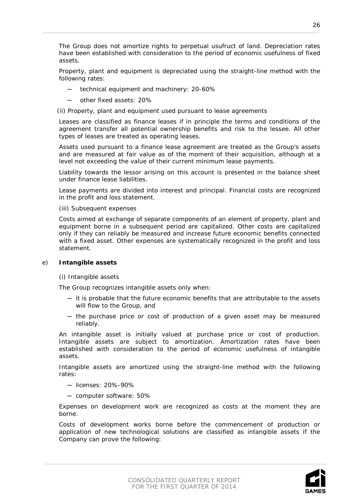The Group does not amortize rights to perpetual usufruct of land. Depreciation rates have been established with consideration to the period of economic usefulness of fixed assets.

Property, plant and equipment is depreciated using the straight-line method with the following rates:

- technical equipment and machinery: 20-60%
- other fixed assets: 20%

#### *(ii) Property, plant and equipment used pursuant to lease agreements*

Leases are classified as finance leases if in principle the terms and conditions of the agreement transfer all potential ownership benefits and risk to the lessee. All other types of leases are treated as operating leases.

Assets used pursuant to a finance lease agreement are treated as the Group's assets and are measured at fair value as of the moment of their acquisition, although at a level not exceeding the value of their current minimum lease payments.

Liability towards the lessor arising on this account is presented in the balance sheet under finance lease liabilities.

Lease payments are divided into interest and principal. Financial costs are recognized in the profit and loss statement.

#### *(iii) Subsequent expenses*

Costs aimed at exchange of separate components of an element of property, plant and equipment borne in a subsequent period are capitalized. Other costs are capitalized only if they can reliably be measured and increase future economic benefits connected with a fixed asset. Other expenses are systematically recognized in the profit and loss statement.

#### e) **Intangible assets**

#### *(i) Intangible assets*

The Group recognizes intangible assets only when:

- ─ it is probable that the future economic benefits that are attributable to the assets will flow to the Group, and
- ─ the purchase price or cost of production of a given asset may be measured reliably.

An intangible asset is initially valued at purchase price or cost of production. Intangible assets are subject to amortization. Amortization rates have been established with consideration to the period of economic usefulness of intangible assets.

Intangible assets are amortized using the straight-line method with the following rates:

- ─ licenses: 20%-90%
- ─ computer software: 50%

Expenses on development work are recognized as costs at the moment they are borne.

Costs of development works borne before the commencement of production or application of new technological solutions are classified as intangible assets if the Company can prove the following:



26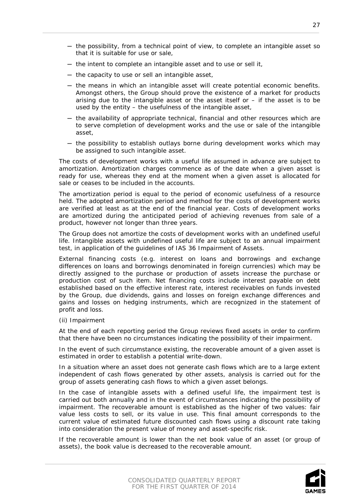- ─ the possibility, from a technical point of view, to complete an intangible asset so that it is suitable for use or sale,
- ─ the intent to complete an intangible asset and to use or sell it,
- ─ the capacity to use or sell an intangible asset,
- ─ the means in which an intangible asset will create potential economic benefits. Amongst others, the Group should prove the existence of a market for products arising due to the intangible asset or the asset itself or  $-$  if the asset is to be used by the entity – the usefulness of the intangible asset,
- ─ the availability of appropriate technical, financial and other resources which are to serve completion of development works and the use or sale of the intangible asset,
- ─ the possibility to establish outlays borne during development works which may be assigned to such intangible asset.

The costs of development works with a useful life assumed in advance are subject to amortization. Amortization charges commence as of the date when a given asset is ready for use, whereas they end at the moment when a given asset is allocated for sale or ceases to be included in the accounts.

The amortization period is equal to the period of economic usefulness of a resource held. The adopted amortization period and method for the costs of development works are verified at least as at the end of the financial year. Costs of development works are amortized during the anticipated period of achieving revenues from sale of a product, however not longer than three years.

The Group does not amortize the costs of development works with an undefined useful life. Intangible assets with undefined useful life are subject to an annual impairment test, in application of the guidelines of IAS 36 Impairment of Assets.

External financing costs (e.g. interest on loans and borrowings and exchange differences on loans and borrowings denominated in foreign currencies) which may be directly assigned to the purchase or production of assets increase the purchase or production cost of such item. Net financing costs include interest payable on debt established based on the effective interest rate, interest receivables on funds invested by the Group, due dividends, gains and losses on foreign exchange differences and gains and losses on hedging instruments, which are recognized in the statement of profit and loss.

*(ii) Impairment*

At the end of each reporting period the Group reviews fixed assets in order to confirm that there have been no circumstances indicating the possibility of their impairment.

In the event of such circumstance existing, the recoverable amount of a given asset is estimated in order to establish a potential write-down.

In a situation where an asset does not generate cash flows which are to a large extent independent of cash flows generated by other assets, analysis is carried out for the group of assets generating cash flows to which a given asset belongs.

In the case of intangible assets with a defined useful life, the impairment test is carried out both annually and in the event of circumstances indicating the possibility of impairment. The recoverable amount is established as the higher of two values: fair value less costs to sell, or its value in use. This final amount corresponds to the current value of estimated future discounted cash flows using a discount rate taking into consideration the present value of money and asset-specific risk.

If the recoverable amount is lower than the net book value of an asset (or group of assets), the book value is decreased to the recoverable amount.

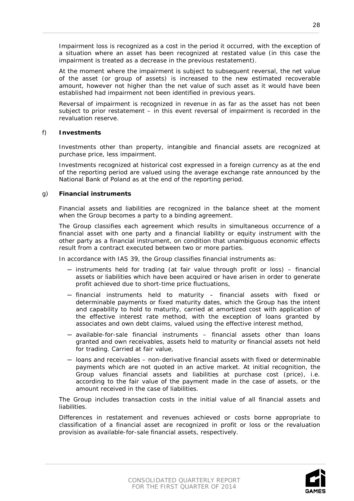Impairment loss is recognized as a cost in the period it occurred, with the exception of a situation where an asset has been recognized at restated value (in this case the impairment is treated as a decrease in the previous restatement).

At the moment where the impairment is subject to subsequent reversal, the net value of the asset (or group of assets) is increased to the new estimated recoverable amount, however not higher than the net value of such asset as it would have been established had impairment not been identified in previous years.

Reversal of impairment is recognized in revenue in as far as the asset has not been subject to prior restatement – in this event reversal of impairment is recorded in the revaluation reserve.

#### f) **Investments**

Investments other than property, intangible and financial assets are recognized at purchase price, less impairment.

Investments recognized at historical cost expressed in a foreign currency as at the end of the reporting period are valued using the average exchange rate announced by the National Bank of Poland as at the end of the reporting period.

#### g) **Financial instruments**

Financial assets and liabilities are recognized in the balance sheet at the moment when the Group becomes a party to a binding agreement.

The Group classifies each agreement which results in simultaneous occurrence of a financial asset with one party and a financial liability or equity instrument with the other party as a financial instrument, on condition that unambiguous economic effects result from a contract executed between two or more parties.

In accordance with IAS 39, the Group classifies financial instruments as:

- ─ instruments held for trading (at fair value through profit or loss) financial assets or liabilities which have been acquired or have arisen in order to generate profit achieved due to short-time price fluctuations,
- ─ financial instruments held to maturity financial assets with fixed or determinable payments or fixed maturity dates, which the Group has the intent and capability to hold to maturity, carried at amortized cost with application of the effective interest rate method, with the exception of loans granted by associates and own debt claims, valued using the effective interest method,
- ─ available-for-sale financial instruments financial assets other than loans granted and own receivables, assets held to maturity or financial assets not held for trading. Carried at fair value,
- ─ loans and receivables non-derivative financial assets with fixed or determinable payments which are not quoted in an active market. At initial recognition, the Group values financial assets and liabilities at purchase cost (price), i.e. according to the fair value of the payment made in the case of assets, or the amount received in the case of liabilities.

The Group includes transaction costs in the initial value of all financial assets and liabilities.

Differences in restatement and revenues achieved or costs borne appropriate to classification of a financial asset are recognized in profit or loss or the revaluation provision as available-for-sale financial assets, respectively.

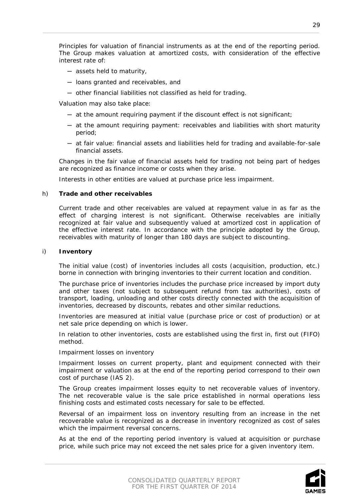Principles for valuation of financial instruments as at the end of the reporting period. The Group makes valuation at amortized costs, with consideration of the effective interest rate of:

- ─ assets held to maturity,
- ─ loans granted and receivables, and
- ─ other financial liabilities not classified as held for trading.

Valuation may also take place:

- ─ at the amount requiring payment if the discount effect is not significant;
- ─ at the amount requiring payment: receivables and liabilities with short maturity period;
- ─ at fair value: financial assets and liabilities held for trading and available-for-sale financial assets.

Changes in the fair value of financial assets held for trading not being part of hedges are recognized as finance income or costs when they arise.

Interests in other entities are valued at purchase price less impairment.

#### h) **Trade and other receivables**

Current trade and other receivables are valued at repayment value in as far as the effect of charging interest is not significant. Otherwise receivables are initially recognized at fair value and subsequently valued at amortized cost in application of the effective interest rate. In accordance with the principle adopted by the Group, receivables with maturity of longer than 180 days are subject to discounting.

#### i) **Inventory**

The initial value (cost) of inventories includes all costs (acquisition, production, etc.) borne in connection with bringing inventories to their current location and condition.

The purchase price of inventories includes the purchase price increased by import duty and other taxes (not subject to subsequent refund from tax authorities), costs of transport, loading, unloading and other costs directly connected with the acquisition of inventories, decreased by discounts, rebates and other similar reductions.

Inventories are measured at initial value (purchase price or cost of production) or at net sale price depending on which is lower.

In relation to other inventories, costs are established using the first in, first out (FIFO) method.

#### *Impairment losses on inventory*

Impairment losses on current property, plant and equipment connected with their impairment or valuation as at the end of the reporting period correspond to their own cost of purchase (IAS 2).

The Group creates impairment losses equity to net recoverable values of inventory. The net recoverable value is the sale price established in normal operations less finishing costs and estimated costs necessary for sale to be effected.

Reversal of an impairment loss on inventory resulting from an increase in the net recoverable value is recognized as a decrease in inventory recognized as cost of sales which the impairment reversal concerns.

As at the end of the reporting period inventory is valued at acquisition or purchase price, while such price may not exceed the net sales price for a given inventory item.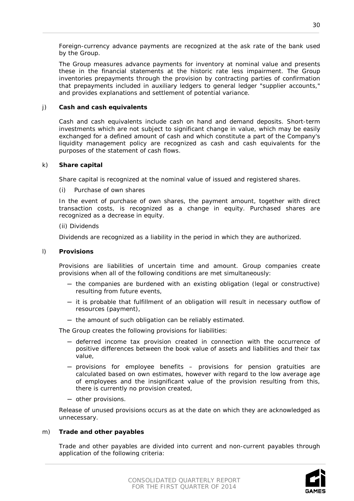Foreign-currency advance payments are recognized at the ask rate of the bank used by the Group.

The Group measures advance payments for inventory at nominal value and presents these in the financial statements at the historic rate less impairment. The Group inventories prepayments through the provision by contracting parties of confirmation that prepayments included in auxiliary ledgers to general ledger "supplier accounts," and provides explanations and settlement of potential variance.

#### j) **Cash and cash equivalents**

Cash and cash equivalents include cash on hand and demand deposits. Short-term investments which are not subject to significant change in value, which may be easily exchanged for a defined amount of cash and which constitute a part of the Company's liquidity management policy are recognized as cash and cash equivalents for the purposes of the statement of cash flows.

#### k) **Share capital**

Share capital is recognized at the nominal value of issued and registered shares.

#### *(i) Purchase of own shares*

In the event of purchase of own shares, the payment amount, together with direct transaction costs, is recognized as a change in equity. Purchased shares are recognized as a decrease in equity.

#### *(ii) Dividends*

Dividends are recognized as a liability in the period in which they are authorized.

#### l) **Provisions**

Provisions are liabilities of uncertain time and amount. Group companies create provisions when all of the following conditions are met simultaneously:

- ─ the companies are burdened with an existing obligation (legal or constructive) resulting from future events,
- ─ it is probable that fulfillment of an obligation will result in necessary outflow of resources (payment),
- ─ the amount of such obligation can be reliably estimated.

The Group creates the following provisions for liabilities:

- ─ deferred income tax provision created in connection with the occurrence of positive differences between the book value of assets and liabilities and their tax value,
- ─ provisions for employee benefits provisions for pension gratuities are calculated based on own estimates, however with regard to the low average age of employees and the insignificant value of the provision resulting from this, there is currently no provision created,
- ─ other provisions.

Release of unused provisions occurs as at the date on which they are acknowledged as unnecessary.

#### m) **Trade and other payables**

Trade and other payables are divided into current and non-current payables through application of the following criteria:

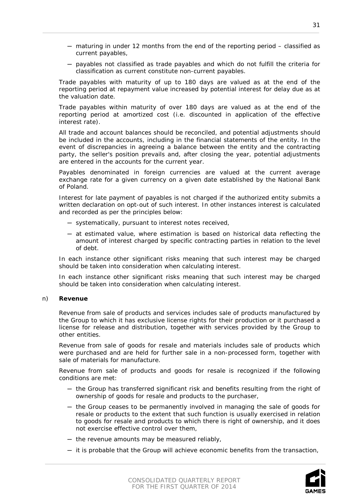- ─ maturing in under 12 months from the end of the reporting period classified as current payables,
- ─ payables not classified as trade payables and which do not fulfill the criteria for classification as current constitute non-current payables.

Trade payables with maturity of up to 180 days are valued as at the end of the reporting period at repayment value increased by potential interest for delay due as at the valuation date.

Trade payables within maturity of over 180 days are valued as at the end of the reporting period at amortized cost (i.e. discounted in application of the effective interest rate).

All trade and account balances should be reconciled, and potential adjustments should be included in the accounts, including in the financial statements of the entity. In the event of discrepancies in agreeing a balance between the entity and the contracting party, the seller's position prevails and, after closing the year, potential adjustments are entered in the accounts for the current year.

Payables denominated in foreign currencies are valued at the current average exchange rate for a given currency on a given date established by the National Bank of Poland.

Interest for late payment of payables is not charged if the authorized entity submits a written declaration on opt-out of such interest. In other instances interest is calculated and recorded as per the principles below:

- ─ systematically, pursuant to interest notes received,
- ─ at estimated value, where estimation is based on historical data reflecting the amount of interest charged by specific contracting parties in relation to the level of debt.

In each instance other significant risks meaning that such interest may be charged should be taken into consideration when calculating interest.

In each instance other significant risks meaning that such interest may be charged should be taken into consideration when calculating interest.

#### n) **Revenue**

Revenue from sale of products and services includes sale of products manufactured by the Group to which it has exclusive license rights for their production or it purchased a license for release and distribution, together with services provided by the Group to other entities.

Revenue from sale of goods for resale and materials includes sale of products which were purchased and are held for further sale in a non-processed form, together with sale of materials for manufacture.

Revenue from sale of products and goods for resale is recognized if the following conditions are met:

- ─ the Group has transferred significant risk and benefits resulting from the right of ownership of goods for resale and products to the purchaser,
- ─ the Group ceases to be permanently involved in managing the sale of goods for resale or products to the extent that such function is usually exercised in relation to goods for resale and products to which there is right of ownership, and it does not exercise effective control over them,
- ─ the revenue amounts may be measured reliably,
- ─ it is probable that the Group will achieve economic benefits from the transaction,



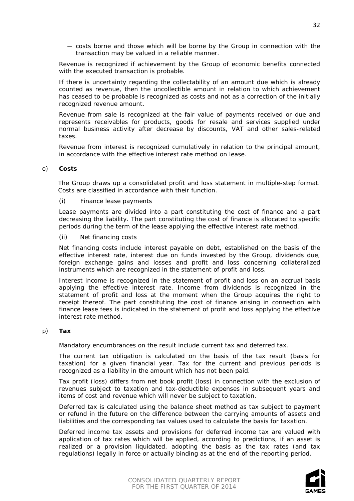─ costs borne and those which will be borne by the Group in connection with the transaction may be valued in a reliable manner.

Revenue is recognized if achievement by the Group of economic benefits connected with the executed transaction is probable.

If there is uncertainty regarding the collectability of an amount due which is already counted as revenue, then the uncollectible amount in relation to which achievement has ceased to be probable is recognized as costs and not as a correction of the initially recognized revenue amount.

Revenue from sale is recognized at the fair value of payments received or due and represents receivables for products, goods for resale and services supplied under normal business activity after decrease by discounts, VAT and other sales-related taxes.

Revenue from interest is recognized cumulatively in relation to the principal amount, in accordance with the effective interest rate method on lease.

#### o) **Costs**

The Group draws up a consolidated profit and loss statement in multiple-step format. Costs are classified in accordance with their function.

#### *(i) Finance lease payments*

Lease payments are divided into a part constituting the cost of finance and a part decreasing the liability. The part constituting the cost of finance is allocated to specific periods during the term of the lease applying the effective interest rate method.

#### *(ii) Net financing costs*

Net financing costs include interest payable on debt, established on the basis of the effective interest rate, interest due on funds invested by the Group, dividends due, foreign exchange gains and losses and profit and loss concerning collateralized instruments which are recognized in the statement of profit and loss.

Interest income is recognized in the statement of profit and loss on an accrual basis applying the effective interest rate. Income from dividends is recognized in the statement of profit and loss at the moment when the Group acquires the right to receipt thereof. The part constituting the cost of finance arising in connection with finance lease fees is indicated in the statement of profit and loss applying the effective interest rate method.

#### p) **Tax**

Mandatory encumbrances on the result include current tax and deferred tax.

The current tax obligation is calculated on the basis of the tax result (basis for taxation) for a given financial year. Tax for the current and previous periods is recognized as a liability in the amount which has not been paid.

Tax profit (loss) differs from net book profit (loss) in connection with the exclusion of revenues subject to taxation and tax-deductible expenses in subsequent years and items of cost and revenue which will never be subject to taxation.

Deferred tax is calculated using the balance sheet method as tax subject to payment or refund in the future on the difference between the carrying amounts of assets and liabilities and the corresponding tax values used to calculate the basis for taxation.

Deferred income tax assets and provisions for deferred income tax are valued with application of tax rates which will be applied, according to predictions, if an asset is realized or a provision liquidated, adopting the basis as the tax rates (and tax regulations) legally in force or actually binding as at the end of the reporting period.

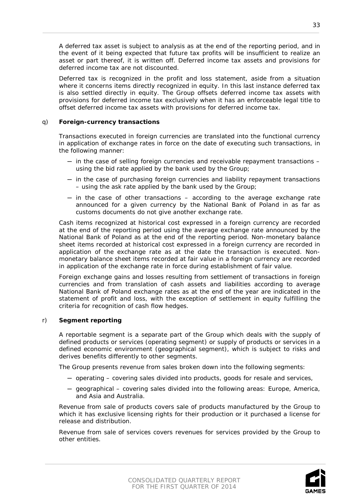A deferred tax asset is subject to analysis as at the end of the reporting period, and in the event of it being expected that future tax profits will be insufficient to realize an asset or part thereof, it is written off. Deferred income tax assets and provisions for deferred income tax are not discounted.

Deferred tax is recognized in the profit and loss statement, aside from a situation where it concerns items directly recognized in equity. In this last instance deferred tax is also settled directly in equity. The Group offsets deferred income tax assets with provisions for deferred income tax exclusively when it has an enforceable legal title to offset deferred income tax assets with provisions for deferred income tax.

#### q) **Foreign-currency transactions**

Transactions executed in foreign currencies are translated into the functional currency in application of exchange rates in force on the date of executing such transactions, in the following manner:

- ─ in the case of selling foreign currencies and receivable repayment transactions using the bid rate applied by the bank used by the Group;
- ─ in the case of purchasing foreign currencies and liability repayment transactions – using the ask rate applied by the bank used by the Group;
- $-$  in the case of other transactions  $-$  according to the average exchange rate announced for a given currency by the National Bank of Poland in as far as customs documents do not give another exchange rate.

Cash items recognized at historical cost expressed in a foreign currency are recorded at the end of the reporting period using the average exchange rate announced by the National Bank of Poland as at the end of the reporting period. Non-monetary balance sheet items recorded at historical cost expressed in a foreign currency are recorded in application of the exchange rate as at the date the transaction is executed. Nonmonetary balance sheet items recorded at fair value in a foreign currency are recorded in application of the exchange rate in force during establishment of fair value.

Foreign exchange gains and losses resulting from settlement of transactions in foreign currencies and from translation of cash assets and liabilities according to average National Bank of Poland exchange rates as at the end of the year are indicated in the statement of profit and loss, with the exception of settlement in equity fulfilling the criteria for recognition of cash flow hedges.

# r) **Segment reporting**

A reportable segment is a separate part of the Group which deals with the supply of defined products or services (operating segment) or supply of products or services in a defined economic environment (geographical segment), which is subject to risks and derives benefits differently to other segments.

The Group presents revenue from sales broken down into the following segments:

- ─ operating covering sales divided into products, goods for resale and services,
- $-$  geographical covering sales divided into the following areas: Europe, America, and Asia and Australia.

Revenue from sale of products covers sale of products manufactured by the Group to which it has exclusive licensing rights for their production or it purchased a license for release and distribution.

Revenue from sale of services covers revenues for services provided by the Group to other entities.

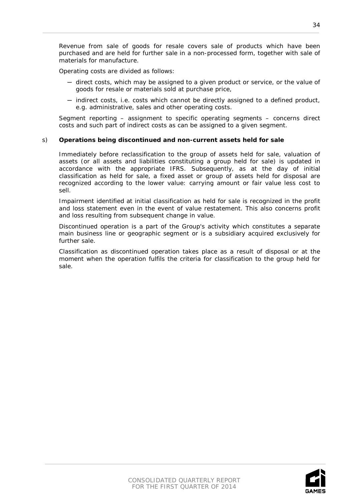Revenue from sale of goods for resale covers sale of products which have been purchased and are held for further sale in a non-processed form, together with sale of materials for manufacture.

Operating costs are divided as follows:

- ─ direct costs, which may be assigned to a given product or service, or the value of goods for resale or materials sold at purchase price,
- ─ indirect costs, i.e. costs which cannot be directly assigned to a defined product, e.g. administrative, sales and other operating costs.

Segment reporting – assignment to specific operating segments – concerns direct costs and such part of indirect costs as can be assigned to a given segment.

#### s) **Operations being discontinued and non-current assets held for sale**

Immediately before reclassification to the group of assets held for sale, valuation of assets (or all assets and liabilities constituting a group held for sale) is updated in accordance with the appropriate IFRS. Subsequently, as at the day of initial classification as held for sale, a fixed asset or group of assets held for disposal are recognized according to the lower value: carrying amount or fair value less cost to sell.

Impairment identified at initial classification as held for sale is recognized in the profit and loss statement even in the event of value restatement. This also concerns profit and loss resulting from subsequent change in value.

Discontinued operation is a part of the Group's activity which constitutes a separate main business line or geographic segment or is a subsidiary acquired exclusively for further sale.

Classification as discontinued operation takes place as a result of disposal or at the moment when the operation fulfils the criteria for classification to the group held for sale.

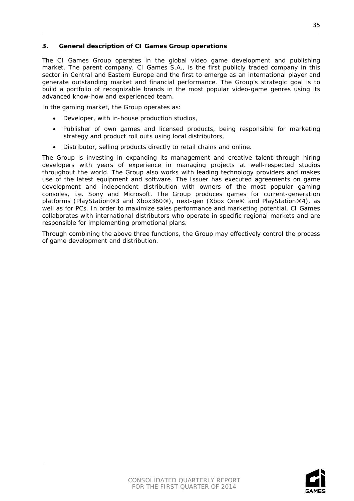# <span id="page-34-0"></span>**3. General description of CI Games Group operations**

The CI Games Group operates in the global video game development and publishing market. The parent company, CI Games S.A., is the first publicly traded company in this sector in Central and Eastern Europe and the first to emerge as an international player and generate outstanding market and financial performance. The Group's strategic goal is to build a portfolio of recognizable brands in the most popular video-game genres using its advanced know-how and experienced team.

In the gaming market, the Group operates as:

- Developer, with in-house production studios,
- Publisher of own games and licensed products, being responsible for marketing strategy and product roll outs using local distributors,
- Distributor, selling products directly to retail chains and online.

The Group is investing in expanding its management and creative talent through hiring developers with years of experience in managing projects at well-respected studios throughout the world. The Group also works with leading technology providers and makes use of the latest equipment and software. The Issuer has executed agreements on game development and independent distribution with owners of the most popular gaming consoles, i.e. Sony and Microsoft. The Group produces games for current-generation platforms (PlayStation®3 and Xbox360®), next-gen (Xbox One® and PlayStation®4), as well as for PCs. In order to maximize sales performance and marketing potential, CI Games collaborates with international distributors who operate in specific regional markets and are responsible for implementing promotional plans.

Through combining the above three functions, the Group may effectively control the process of game development and distribution.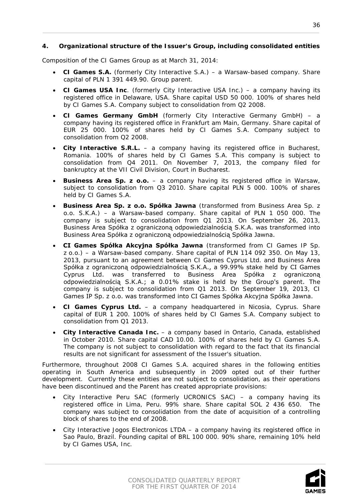# <span id="page-35-0"></span>**4. Organizational structure of the Issuer's Group, including consolidated entities**

Composition of the CI Games Group as at March 31, 2014:

- **CI Games S.A.** (formerly City Interactive S.A.) a Warsaw-based company. Share capital of PLN 1 391 449.90. Group parent.
- **CI Games USA Inc**. (formerly City Interactive USA Inc.) a company having its registered office in Delaware, USA. Share capital USD 50 000. 100% of shares held by CI Games S.A. Company subject to consolidation from Q2 2008.
- **CI Games Germany GmbH** (formerly City Interactive Germany GmbH) a company having its registered office in Frankfurt am Main, Germany. Share capital of EUR 25 000. 100% of shares held by CI Games S.A. Company subject to consolidation from Q2 2008.
- **City Interactive S.R.L.** a company having its registered office in Bucharest, Romania. 100% of shares held by CI Games S.A. This company is subject to consolidation from Q4 2011. On November 7, 2013, the company filed for bankruptcy at the VII Civil Division, Court in Bucharest.
- **Business Area Sp. z o.o.**  a company having its registered office in Warsaw, subject to consolidation from Q3 2010. Share capital PLN 5 000. 100% of shares held by CI Games S.A.
- **Business Area Sp. z o.o. Spółka Jawna** (transformed from Business Area Sp. z o.o. S.K.A.) – a Warsaw-based company. Share capital of PLN 1 050 000. The company is subject to consolidation from Q1 2013. On September 26, 2013, Business Area Spółka z ograniczoną odpowiedzialnością S.K.A. was transformed into Business Area Spółka z ograniczoną odpowiedzialnością Spółka Jawna.
- **CI Games Spółka Akcyjna Spółka Jawna** (transformed from CI Games IP Sp. z o.o.) – a Warsaw-based company. Share capital of PLN 114 092 350. On May 13, 2013, pursuant to an agreement between CI Games Cyprus Ltd. and Business Area Spółka z ograniczoną odpowiedzialnością S.K.A., a 99.99% stake held by CI Games Cyprus Ltd. was transferred to Business Area Spółka z ograniczoną odpowiedzialnością S.K.A.; a 0.01% stake is held by the Group's parent. The company is subject to consolidation from Q1 2013. On September 19, 2013, CI Games IP Sp. z o.o. was transformed into CI Games Spółka Akcyjna Spółka Jawna.
- **CI Games Cyprus Ltd.** a company headquartered in Nicosia, Cyprus. Share capital of EUR 1 200. 100% of shares held by CI Games S.A. Company subject to consolidation from Q1 2013.
- **City Interactive Canada Inc.**  a company based in Ontario, Canada, established in October 2010. Share capital CAD 10.00. 100% of shares held by CI Games S.A. The company is not subject to consolidation with regard to the fact that its financial results are not significant for assessment of the Issuer's situation.

Furthermore, throughout 2008 CI Games S.A. acquired shares in the following entities operating in South America and subsequently in 2009 opted out of their further development. Currently these entities are not subject to consolidation, as their operations have been discontinued and the Parent has created appropriate provisions:

- City Interactive Peru SAC (formerly UCRONICS SAC) a company having its registered office in Lima, Peru. 99% share. Share capital SOL 2 436 650. The company was subject to consolidation from the date of acquisition of a controlling block of shares to the end of 2008.
- City Interactive Jogos Electronicos LTDA a company having its registered office in Sao Paulo, Brazil. Founding capital of BRL 100 000. 90% share, remaining 10% held by CI Games USA, Inc.

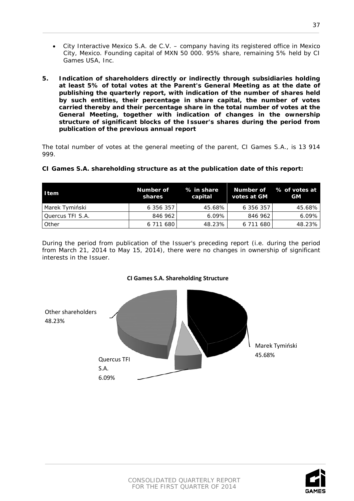- City Interactive Mexico S.A. de C.V. company having its registered office in Mexico City, Mexico. Founding capital of MXN 50 000. 95% share, remaining 5% held by CI Games USA, Inc.
- <span id="page-36-0"></span>**5. Indication of shareholders directly or indirectly through subsidiaries holding at least 5% of total votes at the Parent's General Meeting as at the date of publishing the quarterly report, with indication of the number of shares held by such entities, their percentage in share capital, the number of votes carried thereby and their percentage share in the total number of votes at the General Meeting, together with indication of changes in the ownership structure of significant blocks of the Issuer's shares during the period from publication of the previous annual report**

The total number of votes at the general meeting of the parent, CI Games S.A., is 13 914 999.

| <b>I</b> tem     | Number of<br>shares | % in share<br>capital | votes at GM | Number of % of votes at<br><b>GM</b> |
|------------------|---------------------|-----------------------|-------------|--------------------------------------|
| Marek Tymiński   | 6 356 357           | 45.68%                | 6 356 357   | 45.68%                               |
| Quercus TFI S.A. | 846 962             | $6.09\%$              | 846 962     | $6.09\%$                             |
| I Other          | 6 711 680           | 48.23%                | 6 711 680   | 48.23%                               |

# **CI Games S.A. shareholding structure as at the publication date of this report:**

During the period from publication of the Issuer's preceding report (i.e. during the period from March 21, 2014 to May 15, 2014), there were no changes in ownership of significant interests in the Issuer.



# **CI Games S.A. Shareholding Structure**

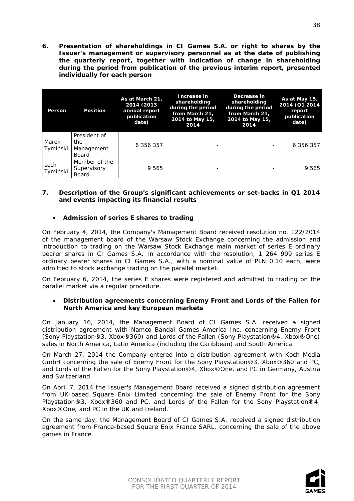<span id="page-37-0"></span>**6. Presentation of shareholdings in CI Games S.A. or right to shares by the Issuer's management or supervisory personnel as at the date of publishing the quarterly report, together with indication of change in shareholding during the period from publication of the previous interim report, presented individually for each person**

| Person            | <b>Position</b>                            | As at March 21,<br>2014 (2013<br>annual report<br>publication<br>date) | Increase in<br>shareholding<br>during the period<br>from March 21.<br>2014 to May 15,<br>2014 | Decrease in<br>shareholding<br>during the period<br>from March 21.<br>2014 to May 15,<br>2014 | As at May 15,<br>2014 (Q1 2014<br>report<br>publication<br>date) |
|-------------------|--------------------------------------------|------------------------------------------------------------------------|-----------------------------------------------------------------------------------------------|-----------------------------------------------------------------------------------------------|------------------------------------------------------------------|
| Marek<br>Tymiński | President of<br>the<br>Management<br>Board | 6 356 357                                                              |                                                                                               |                                                                                               | 6 356 357                                                        |
| Lech<br>Tymiński  | Member of the<br>Supervisory<br>Board      | 9 565                                                                  |                                                                                               |                                                                                               | 9 565                                                            |

# <span id="page-37-1"></span>**7. Description of the Group's significant achievements or set-backs in Q1 2014 and events impacting its financial results**

# • **Admission of series E shares to trading**

On February 4, 2014, the Company's Management Board received resolution no. 122/2014 of the management board of the Warsaw Stock Exchange concerning the admission and introduction to trading on the Warsaw Stock Exchange main market of series E ordinary bearer shares in CI Games S.A. In accordance with the resolution, 1 264 999 series E ordinary bearer shares in CI Games S.A., with a nominal value of PLN 0.10 each, were admitted to stock exchange trading on the parallel market.

On February 6, 2014, the series E shares were registered and admitted to trading on the parallel market via a regular procedure.

#### • **Distribution agreements concerning Enemy Front and Lords of the Fallen for North America and key European markets**

On January 16, 2014, the Management Board of CI Games S.A. received a signed distribution agreement with Namco Bandai Games America Inc. concerning Enemy Front (Sony Playstation®3, Xbox®360) and Lords of the Fallen (Sony Playstation®4, Xbox®One) sales in North America, Latin America (including the Caribbean) and South America.

On March 27, 2014 the Company entered into a distribution agreement with Koch Media GmbH concerning the sale of Enemy Front for the Sony Playstation®3, Xbox®360 and PC, and Lords of the Fallen for the Sony Playstation®4, Xbox®One, and PC in Germany, Austria and Switzerland.

On April 7, 2014 the Issuer's Management Board received a signed distribution agreement from UK-based Square Enix Limited concerning the sale of Enemy Front for the Sony Playstation®3, Xbox®360 and PC, and Lords of the Fallen for the Sony Playstation®4, Xbox®One, and PC in the UK and Ireland.

On the same day, the Management Board of CI Games S.A. received a signed distribution agreement from France-based Square Enix France SARL, concerning the sale of the above games in France.

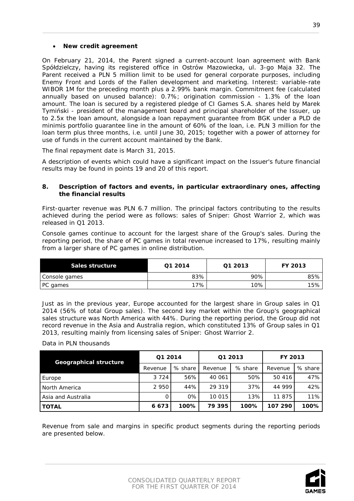#### • **New credit agreement**

On February 21, 2014, the Parent signed a current-account loan agreement with Bank Spółdzielczy, having its registered office in Ostrów Mazowiecka, ul. 3-go Maja 32. The Parent received a PLN 5 million limit to be used for general corporate purposes, including Enemy Front and Lords of the Fallen development and marketing. Interest: variable-rate WIBOR 1M for the preceding month plus a 2.99% bank margin. Commitment fee (calculated annually based on unused balance): 0.7%; origination commission - 1.3% of the loan amount. The loan is secured by a registered pledge of CI Games S.A. shares held by Marek Tymiński - president of the management board and principal shareholder of the Issuer, up to 2.5x the loan amount, alongside a loan repayment guarantee from BGK under a PLD de minimis portfolio guarantee line in the amount of 60% of the loan, i.e. PLN 3 million for the loan term plus three months, i.e. until June 30, 2015; together with a power of attorney for use of funds in the current account maintained by the Bank.

The final repayment date is March 31, 2015.

A description of events which could have a significant impact on the Issuer's future financial results may be found in points 19 and 20 of this report.

#### <span id="page-38-0"></span>**8. Description of factors and events, in particular extraordinary ones, affecting the financial results**

First-quarter revenue was PLN 6.7 million. The principal factors contributing to the results achieved during the period were as follows: sales of Sniper: Ghost Warrior 2, which was released in Q1 2013.

Console games continue to account for the largest share of the Group's sales. During the reporting period, the share of PC games in total revenue increased to 17%, resulting mainly from a larger share of PC games in online distribution.

| Sales structure | Q1 2014 | Q1 2013 | FY 2013 |
|-----------------|---------|---------|---------|
| Console games   | 83%     | 90%     | $85\%$  |
| PC games        | 17%     | 10%     | 15%     |

Just as in the previous year, Europe accounted for the largest share in Group sales in Q1 2014 (56% of total Group sales). The second key market within the Group's geographical sales structure was North America with 44%. During the reporting period, the Group did not record revenue in the Asia and Australia region, which constituted 13% of Group sales in Q1 2013, resulting mainly from licensing sales of Sniper: Ghost Warrior 2.

# Data in PLN thousands

| <b>Geographical structure</b> | Q1 2014 |         | Q1 2013 |         | <b>FY 2013</b> |         |
|-------------------------------|---------|---------|---------|---------|----------------|---------|
|                               | Revenue | % share | Revenue | % share | Revenue        | % share |
| Europe                        | 3 7 2 4 | 56%     | 40 061  | 50%     | 50 416         | 47%     |
| North America                 | 2 9 5 0 | 44%     | 29 319  | 37%     | 44 999         | 42%     |
| Asia and Australia            |         | 0%      | 10 015  | 13%     | 11 875         | 11%     |
| l TOTAL                       | 6673    | 100%    | 79 395  | 100%    | 107 290        | 100%    |

Revenue from sale and margins in specific product segments during the reporting periods are presented below.

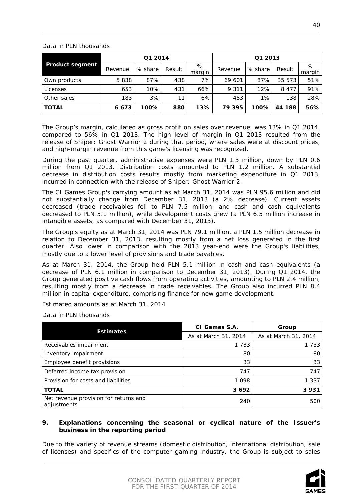# Data in PLN thousands

| <b>Product segment</b> | Q1 2014 |         |        |             | Q1 2013 |         |         |             |
|------------------------|---------|---------|--------|-------------|---------|---------|---------|-------------|
|                        | Revenue | % share | Result | %<br>margin | Revenue | % share | Result  | %<br>margin |
| Own products           | 5838    | 87%     | 438    | 7%          | 69 601  | 87%     | 35 573  | 51%         |
| Licenses               | 653     | 10%     | 431    | 66%         | 9 3 1 1 | 12%     | 8 4 7 7 | 91%         |
| Other sales            | 183     | 3%      | 11     | 6%          | 483     | 1%      | 138     | 28%         |
| <b>TOTAL</b>           | 6673    | 100%    | 880    | 13%         | 79 395  | 100%    | 44 188  | 56%         |

The Group's margin, calculated as gross profit on sales over revenue, was 13% in Q1 2014, compared to 56% in Q1 2013. The high level of margin in Q1 2013 resulted from the release of Sniper: Ghost Warrior 2 during that period, where sales were at discount prices, and high-margin revenue from this game's licensing was recognized.

During the past quarter, administrative expenses were PLN 1.3 million, down by PLN 0.6 million from Q1 2013. Distribution costs amounted to PLN 1.2 million. A substantial decrease in distribution costs results mostly from marketing expenditure in Q1 2013, incurred in connection with the release of Sniper: Ghost Warrior 2.

The CI Games Group's carrying amount as at March 31, 2014 was PLN 95.6 million and did not substantially change from December 31, 2013 (a 2% decrease). Current assets decreased (trade receivables fell to PLN 7.5 million, and cash and cash equivalents decreased to PLN 5.1 million), while development costs grew (a PLN 6.5 million increase in intangible assets, as compared with December 31, 2013).

The Group's equity as at March 31, 2014 was PLN 79.1 million, a PLN 1.5 million decrease in relation to December 31, 2013, resulting mostly from a net loss generated in the first quarter. Also lower in comparison with the 2013 year-end were the Group's liabilities, mostly due to a lower level of provisions and trade payables.

As at March 31, 2014, the Group held PLN 5.1 million in cash and cash equivalents (a decrease of PLN 6.1 million in comparison to December 31, 2013). During Q1 2014, the Group generated positive cash flows from operating activities, amounting to PLN 2.4 million, resulting mostly from a decrease in trade receivables. The Group also incurred PLN 8.4 million in capital expenditure, comprising finance for new game development.

Estimated amounts as at March 31, 2014

Data in PLN thousands

|                                                      | CI Games S.A.        | Group                |  |
|------------------------------------------------------|----------------------|----------------------|--|
| <b>Estimates</b>                                     | As at March 31, 2014 | As at March 31, 2014 |  |
| Receivables impairment                               | 1 7 3 3              | 1 7 3 3              |  |
| Inventory impairment                                 | 80                   | 80                   |  |
| Employee benefit provisions                          | 33                   | 33                   |  |
| Deferred income tax provision                        | 747                  | 747                  |  |
| Provision for costs and liabilities                  | 1 0 9 8              | 1 3 3 7              |  |
| <b>TOTAL</b>                                         | 3692                 | 3931                 |  |
| Net revenue provision for returns and<br>adjustments | 240                  | 500                  |  |

# <span id="page-39-0"></span>**9. Explanations concerning the seasonal or cyclical nature of the Issuer's business in the reporting period**

Due to the variety of revenue streams (domestic distribution, international distribution, sale of licenses) and specifics of the computer gaming industry, the Group is subject to sales

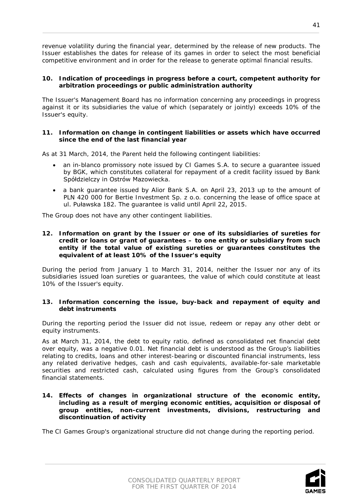revenue volatility during the financial year, determined by the release of new products. The Issuer establishes the dates for release of its games in order to select the most beneficial competitive environment and in order for the release to generate optimal financial results.

#### <span id="page-40-0"></span>**10. Indication of proceedings in progress before a court, competent authority for arbitration proceedings or public administration authority**

The Issuer's Management Board has no information concerning any proceedings in progress against it or its subsidiaries the value of which (separately or jointly) exceeds 10% of the Issuer's equity.

#### <span id="page-40-1"></span>**11. Information on change in contingent liabilities or assets which have occurred since the end of the last financial year**

As at 31 March, 2014, the Parent held the following contingent liabilities:

- an in-blanco promissory note issued by CI Games S.A. to secure a guarantee issued by BGK, which constitutes collateral for repayment of a credit facility issued by Bank Spółdzielczy in Ostrów Mazowiecka.
- a bank guarantee issued by Alior Bank S.A. on April 23, 2013 up to the amount of PLN 420 000 for Bertie Investment Sp. z o.o. concerning the lease of office space at ul. Puławska 182. The guarantee is valid until April 22, 2015.

The Group does not have any other contingent liabilities.

#### <span id="page-40-2"></span>**12. Information on grant by the Issuer or one of its subsidiaries of sureties for credit or loans or grant of guarantees – to one entity or subsidiary from such entity if the total value of existing sureties or guarantees constitutes the equivalent of at least 10% of the Issuer's equity**

During the period from January 1 to March 31, 2014, neither the Issuer nor any of its subsidiaries issued loan sureties or guarantees, the value of which could constitute at least 10% of the Issuer's equity.

#### <span id="page-40-3"></span>**13. Information concerning the issue, buy-back and repayment of equity and debt instruments**

During the reporting period the Issuer did not issue, redeem or repay any other debt or equity instruments.

As at March 31, 2014, the debt to equity ratio, defined as consolidated net financial debt over equity, was a negative 0.01. Net financial debt is understood as the Group's liabilities relating to credits, loans and other interest-bearing or discounted financial instruments, less any related derivative hedges, cash and cash equivalents, available-for-sale marketable securities and restricted cash, calculated using figures from the Group's consolidated financial statements.

<span id="page-40-4"></span>**14. Effects of changes in organizational structure of the economic entity, including as a result of merging economic entities, acquisition or disposal of group entities, non-current investments, divisions, restructuring and discontinuation of activity**

The CI Games Group's organizational structure did not change during the reporting period.

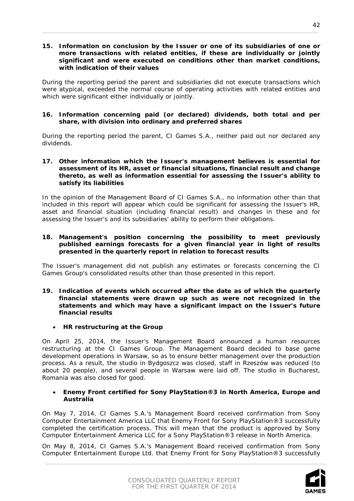#### <span id="page-41-0"></span>**15. Information on conclusion by the Issuer or one of its subsidiaries of one or more transactions with related entities, if these are individually or jointly significant and were executed on conditions other than market conditions, with indication of their values**

During the reporting period the parent and subsidiaries did not execute transactions which were atypical, exceeded the normal course of operating activities with related entities and which were significant either individually or jointly.

#### <span id="page-41-1"></span>**16. Information concerning paid (or declared) dividends, both total and per share, with division into ordinary and preferred shares**

During the reporting period the parent, CI Games S.A., neither paid out nor declared any dividends.

#### <span id="page-41-2"></span>**17. Other information which the Issuer's management believes is essential for assessment of its HR, asset or financial situations, financial result and change thereto, as well as information essential for assessing the Issuer's ability to satisfy its liabilities**

In the opinion of the Management Board of CI Games S.A., no information other than that included in this report will appear which could be significant for assessing the Issuer's HR, asset and financial situation (including financial result) and changes in these and for assessing the Issuer's and its subsidiaries' ability to perform their obligations.

#### <span id="page-41-3"></span>**18. Management's position concerning the possibility to meet previously published earnings forecasts for a given financial year in light of results presented in the quarterly report in relation to forecast results**

The Issuer's management did not publish any estimates or forecasts concerning the CI Games Group's consolidated results other than those presented in this report.

- <span id="page-41-4"></span>**19. Indication of events which occurred after the date as of which the quarterly financial statements were drawn up such as were not recognized in the statements and which may have a significant impact on the Issuer's future financial results**
	- **HR restructuring at the Group**

On April 25, 2014, the Issuer's Management Board announced a human resources restructuring at the CI Games Group. The Management Board decided to base game development operations in Warsaw, so as to ensure better management over the production process. As a result, the studio in Bydgoszcz was closed, staff in Rzeszów was reduced (to about 20 people), and several people in Warsaw were laid off. The studio in Bucharest, Romania was also closed for good.

#### • **Enemy Front certified for Sony PlayStation®3 in North America, Europe and Australia**

On May 7, 2014, CI Games S.A.'s Management Board received confirmation from Sony Computer Entertainment America LLC that Enemy Front for Sony PlayStation®3 successfully completed the certification process. This will mean that the product is approved by Sony Computer Entertainment America LLC for a Sony PlayStation®3 release in North America.

On May 8, 2014, CI Games S.A.'s Management Board received confirmation from Sony Computer Entertainment Europe Ltd. that Enemy Front for Sony PlayStation®3 successfully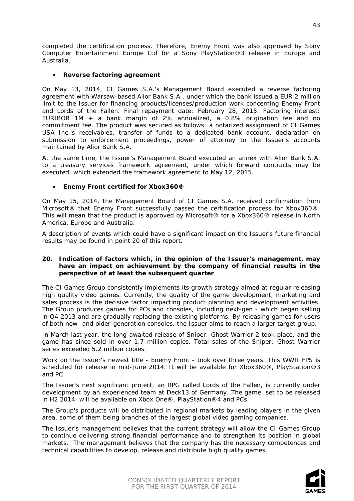completed the certification process. Therefore, Enemy Front was also approved by Sony Computer Entertainment Europe Ltd for a Sony PlayStation®3 release in Europe and Australia.

# • **Reverse factoring agreement**

On May 13, 2014, CI Games S.A.'s Management Board executed a reverse factoring agreement with Warsaw-based Alior Bank S.A., under which the bank issued a EUR 2 million limit to the Issuer for financing products/licenses/production work concerning Enemy Front and Lords of the Fallen. Final repayment date: February 28, 2015. Factoring interest: EURIBOR 1M + a bank margin of 2% annualized, a 0.8% origination fee and no commitment fee. The product was secured as follows: a notarized assignment of CI Games USA Inc.'s receivables, transfer of funds to a dedicated bank account, declaration on submission to enforcement proceedings, power of attorney to the Issuer's accounts maintained by Alior Bank S.A.

At the same time, the Issuer's Management Board executed an annex with Alior Bank S.A. to a treasury services framework agreement, under which forward contracts may be executed, which extended the framework agreement to May 12, 2015.

# • **Enemy Front certified for Xbox360®**

On May 15, 2014, the Management Board of CI Games S.A. received confirmation from Microsoft® that Enemy Front successfully passed the certification process for Xbox360®. This will mean that the product is approved by Microsoft® for a Xbox360® release in North America, Europe and Australia.

A description of events which could have a significant impact on the Issuer's future financial results may be found in point 20 of this report.

#### <span id="page-42-0"></span>**20. Indication of factors which, in the opinion of the Issuer's management, may have an impact on achievement by the company of financial results in the perspective of at least the subsequent quarter**

The CI Games Group consistently implements its growth strategy aimed at regular releasing high quality video games. Currently, the quality of the game development, marketing and sales process is the decisive factor impacting product planning and development activities. The Group produces games for PCs and consoles, including next-gen - which began selling in Q4 2013 and are gradually replacing the existing platforms. By releasing games for users of both new- and older-generation consoles, the Issuer aims to reach a larger target group.

In March last year, the long-awaited release of Sniper: Ghost Warrior 2 took place, and the game has since sold in over 1.7 million copies. Total sales of the Sniper: Ghost Warrior series exceeded 5.2 million copies.

Work on the Issuer's newest title - Enemy Front - took over three years. This WWII FPS is scheduled for release in mid-June 2014. It will be available for Xbox360®, PlayStation®3 and PC.

The Issuer's next significant project, an RPG called Lords of the Fallen, is currently under development by an experienced team at Deck13 of Germany. The game, set to be released in H2 2014, will be available on Xbox One®, PlayStation®4 and PCs.

The Group's products will be distributed in regional markets by leading players in the given area, some of them being branches of the largest global video gaming companies.

The Issuer's management believes that the current strategy will allow the CI Games Group to continue delivering strong financial performance and to strengthen its position in global markets. The management believes that the company has the necessary competences and technical capabilities to develop, release and distribute high quality games.

43